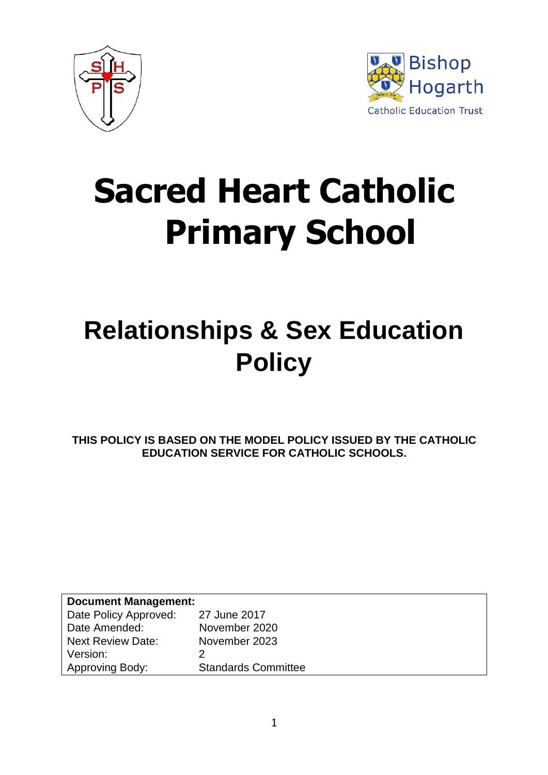



# **Sacred Heart Catholic Primary School**

## **Relationships & Sex Education Policy**

**THIS POLICY IS BASED ON THE MODEL POLICY ISSUED BY THE CATHOLIC EDUCATION SERVICE FOR CATHOLIC SCHOOLS.**

| <b>Document Management:</b> |                            |  |
|-----------------------------|----------------------------|--|
| Date Policy Approved:       | 27 June 2017               |  |
| Date Amended:               | November 2020              |  |
| <b>Next Review Date:</b>    | November 2023              |  |
| Version:                    |                            |  |
| Approving Body:             | <b>Standards Committee</b> |  |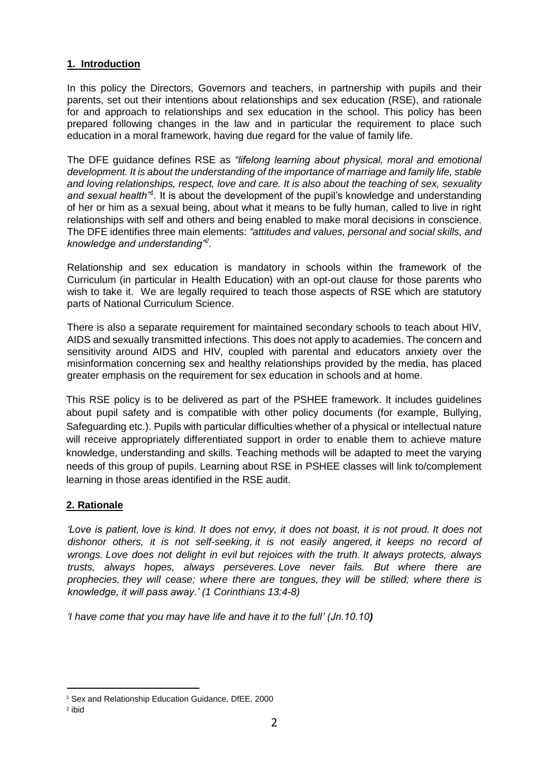#### **1. Introduction**

In this policy the Directors, Governors and teachers, in partnership with pupils and their parents, set out their intentions about relationships and sex education (RSE), and rationale for and approach to relationships and sex education in the school. This policy has been prepared following changes in the law and in particular the requirement to place such education in a moral framework, having due regard for the value of family life.

The DFE guidance defines RSE as *"lifelong learning about physical, moral and emotional development. It is about the understanding of the importance of marriage and family life, stable and loving relationships, respect, love and care. It is also about the teaching of sex, sexuality*  and sexual health<sup>"1</sup>. It is about the development of the pupil's knowledge and understanding of her or him as a sexual being, about what it means to be fully human, called to live in right relationships with self and others and being enabled to make moral decisions in conscience. The DFE identifies three main elements: *"attitudes and values, personal and social skills, and knowledge and understanding"<sup>2</sup> .* 

Relationship and sex education is mandatory in schools within the framework of the Curriculum (in particular in Health Education) with an opt-out clause for those parents who wish to take it. We are legally required to teach those aspects of RSE which are statutory parts of National Curriculum Science.

There is also a separate requirement for maintained secondary schools to teach about HIV, AIDS and sexually transmitted infections. This does not apply to academies. The concern and sensitivity around AIDS and HIV, coupled with parental and educators anxiety over the misinformation concerning sex and healthy relationships provided by the media, has placed greater emphasis on the requirement for sex education in schools and at home.

This RSE policy is to be delivered as part of the PSHEE framework. It includes guidelines about pupil safety and is compatible with other policy documents (for example, Bullying, Safeguarding etc.). Pupils with particular difficulties whether of a physical or intellectual nature will receive appropriately differentiated support in order to enable them to achieve mature knowledge, understanding and skills. Teaching methods will be adapted to meet the varying needs of this group of pupils. Learning about RSE in PSHEE classes will link to/complement learning in those areas identified in the RSE audit.

#### **2. Rationale**

*'Love is patient, love is kind. It does not envy, it does not boast, it is not proud. It does not dishonor others, it is not self-seeking, it is not easily angered, it keeps no record of wrongs. Love does not delight in evil but rejoices with the truth. It always protects, always trusts, always hopes, always perseveres. Love never fails. But where there are prophecies, they will cease; where there are tongues, they will be stilled; where there is knowledge, it will pass away.' (1 Corinthians 13:4-8)*

*'I have come that you may have life and have it to the full' (Jn.10.10)*

 $\overline{a}$ 

<sup>&</sup>lt;sup>1</sup> Sex and Relationship Education Guidance, DfEE, 2000

<sup>2</sup> ibid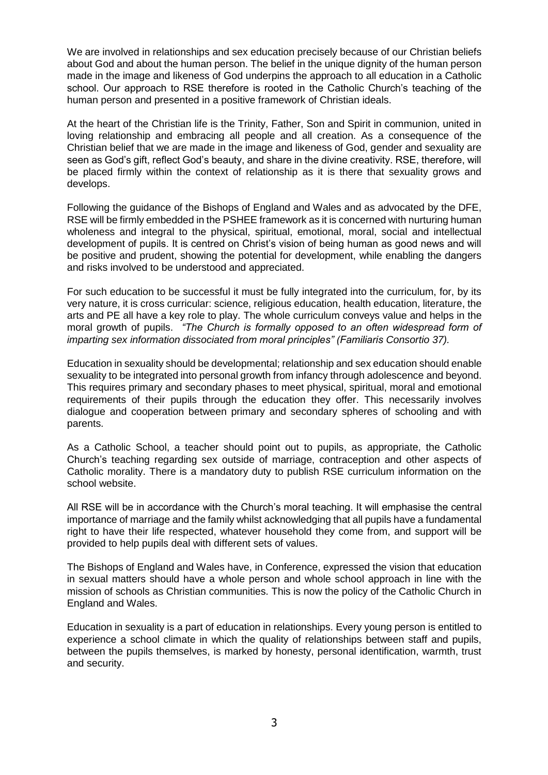We are involved in relationships and sex education precisely because of our Christian beliefs about God and about the human person. The belief in the unique dignity of the human person made in the image and likeness of God underpins the approach to all education in a Catholic school. Our approach to RSE therefore is rooted in the Catholic Church's teaching of the human person and presented in a positive framework of Christian ideals.

At the heart of the Christian life is the Trinity, Father, Son and Spirit in communion, united in loving relationship and embracing all people and all creation. As a consequence of the Christian belief that we are made in the image and likeness of God, gender and sexuality are seen as God's gift, reflect God's beauty, and share in the divine creativity. RSE, therefore, will be placed firmly within the context of relationship as it is there that sexuality grows and develops.

Following the guidance of the Bishops of England and Wales and as advocated by the DFE, RSE will be firmly embedded in the PSHEE framework as it is concerned with nurturing human wholeness and integral to the physical, spiritual, emotional, moral, social and intellectual development of pupils. It is centred on Christ's vision of being human as good news and will be positive and prudent, showing the potential for development, while enabling the dangers and risks involved to be understood and appreciated.

For such education to be successful it must be fully integrated into the curriculum, for, by its very nature, it is cross curricular: science, religious education, health education, literature, the arts and PE all have a key role to play. The whole curriculum conveys value and helps in the moral growth of pupils. *"The Church is formally opposed to an often widespread form of imparting sex information dissociated from moral principles" (Familiaris Consortio 37).*

Education in sexuality should be developmental; relationship and sex education should enable sexuality to be integrated into personal growth from infancy through adolescence and beyond. This requires primary and secondary phases to meet physical, spiritual, moral and emotional requirements of their pupils through the education they offer. This necessarily involves dialogue and cooperation between primary and secondary spheres of schooling and with parents.

As a Catholic School, a teacher should point out to pupils, as appropriate, the Catholic Church's teaching regarding sex outside of marriage, contraception and other aspects of Catholic morality. There is a mandatory duty to publish RSE curriculum information on the school website.

All RSE will be in accordance with the Church's moral teaching. It will emphasise the central importance of marriage and the family whilst acknowledging that all pupils have a fundamental right to have their life respected, whatever household they come from, and support will be provided to help pupils deal with different sets of values.

The Bishops of England and Wales have, in Conference, expressed the vision that education in sexual matters should have a whole person and whole school approach in line with the mission of schools as Christian communities. This is now the policy of the Catholic Church in England and Wales.

Education in sexuality is a part of education in relationships. Every young person is entitled to experience a school climate in which the quality of relationships between staff and pupils, between the pupils themselves, is marked by honesty, personal identification, warmth, trust and security.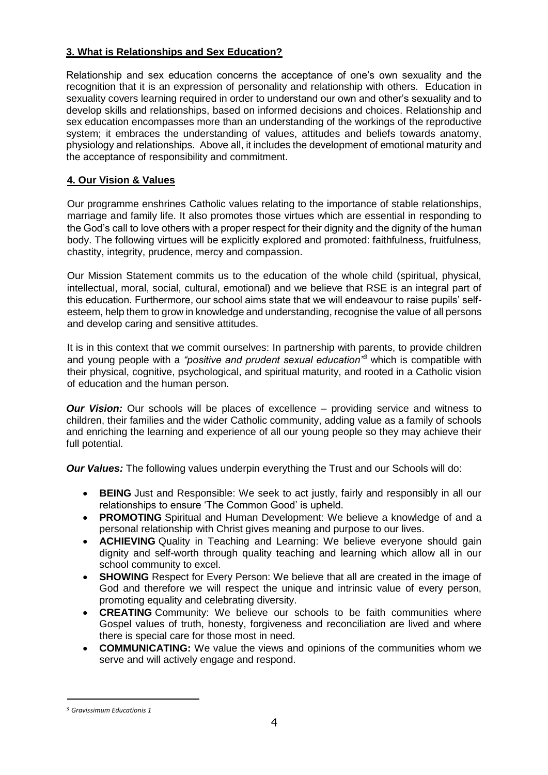#### **3. What is Relationships and Sex Education?**

Relationship and sex education concerns the acceptance of one's own sexuality and the recognition that it is an expression of personality and relationship with others. Education in sexuality covers learning required in order to understand our own and other's sexuality and to develop skills and relationships, based on informed decisions and choices. Relationship and sex education encompasses more than an understanding of the workings of the reproductive system; it embraces the understanding of values, attitudes and beliefs towards anatomy, physiology and relationships. Above all, it includes the development of emotional maturity and the acceptance of responsibility and commitment.

#### **4. Our Vision & Values**

Our programme enshrines Catholic values relating to the importance of stable relationships, marriage and family life. It also promotes those virtues which are essential in responding to the God's call to love others with a proper respect for their dignity and the dignity of the human body. The following virtues will be explicitly explored and promoted: faithfulness, fruitfulness, chastity, integrity, prudence, mercy and compassion.

Our Mission Statement commits us to the education of the whole child (spiritual, physical, intellectual, moral, social, cultural, emotional) and we believe that RSE is an integral part of this education. Furthermore, our school aims state that we will endeavour to raise pupils' selfesteem, help them to grow in knowledge and understanding, recognise the value of all persons and develop caring and sensitive attitudes.

It is in this context that we commit ourselves: In partnership with parents, to provide children and young people with a *"positive and prudent sexual education"<sup>3</sup>* which is compatible with their physical, cognitive, psychological, and spiritual maturity, and rooted in a Catholic vision of education and the human person.

*Our Vision:* Our schools will be places of excellence – providing service and witness to children, their families and the wider Catholic community, adding value as a family of schools and enriching the learning and experience of all our young people so they may achieve their full potential.

*Our Values:* The following values underpin everything the Trust and our Schools will do:

- **BEING** Just and Responsible: We seek to act justly, fairly and responsibly in all our relationships to ensure 'The Common Good' is upheld.
- **PROMOTING** Spiritual and Human Development: We believe a knowledge of and a personal relationship with Christ gives meaning and purpose to our lives.
- **ACHIEVING** Quality in Teaching and Learning: We believe everyone should gain dignity and self-worth through quality teaching and learning which allow all in our school community to excel.
- **SHOWING** Respect for Every Person: We believe that all are created in the image of God and therefore we will respect the unique and intrinsic value of every person, promoting equality and celebrating diversity.
- **CREATING** Community: We believe our schools to be faith communities where Gospel values of truth, honesty, forgiveness and reconciliation are lived and where there is special care for those most in need.
- **COMMUNICATING:** We value the views and opinions of the communities whom we serve and will actively engage and respond.

 $\overline{a}$ 

<sup>3</sup> *Gravissimum Educationis 1*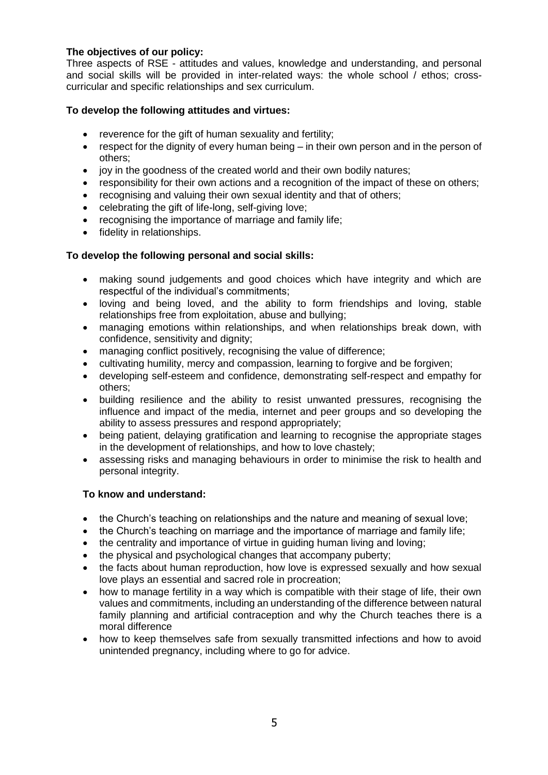#### **The objectives of our policy:**

Three aspects of RSE - attitudes and values, knowledge and understanding, and personal and social skills will be provided in inter-related ways: the whole school / ethos; crosscurricular and specific relationships and sex curriculum.

#### **To develop the following attitudes and virtues:**

- reverence for the gift of human sexuality and fertility;
- respect for the dignity of every human being in their own person and in the person of others;
- joy in the goodness of the created world and their own bodily natures;
- responsibility for their own actions and a recognition of the impact of these on others;
- recognising and valuing their own sexual identity and that of others;
- celebrating the gift of life-long, self-giving love;
- recognising the importance of marriage and family life;
- fidelity in relationships.

#### **To develop the following personal and social skills:**

- making sound judgements and good choices which have integrity and which are respectful of the individual's commitments;
- loving and being loved, and the ability to form friendships and loving, stable relationships free from exploitation, abuse and bullying;
- managing emotions within relationships, and when relationships break down, with confidence, sensitivity and dignity;
- managing conflict positively, recognising the value of difference;
- cultivating humility, mercy and compassion, learning to forgive and be forgiven;
- developing self-esteem and confidence, demonstrating self-respect and empathy for others;
- building resilience and the ability to resist unwanted pressures, recognising the influence and impact of the media, internet and peer groups and so developing the ability to assess pressures and respond appropriately;
- being patient, delaying gratification and learning to recognise the appropriate stages in the development of relationships, and how to love chastely;
- assessing risks and managing behaviours in order to minimise the risk to health and personal integrity.

#### **To know and understand:**

- the Church's teaching on relationships and the nature and meaning of sexual love;
- the Church's teaching on marriage and the importance of marriage and family life;
- the centrality and importance of virtue in quiding human living and loving;
- the physical and psychological changes that accompany puberty;
- the facts about human reproduction, how love is expressed sexually and how sexual love plays an essential and sacred role in procreation;
- how to manage fertility in a way which is compatible with their stage of life, their own values and commitments, including an understanding of the difference between natural family planning and artificial contraception and why the Church teaches there is a moral difference
- how to keep themselves safe from sexually transmitted infections and how to avoid unintended pregnancy, including where to go for advice.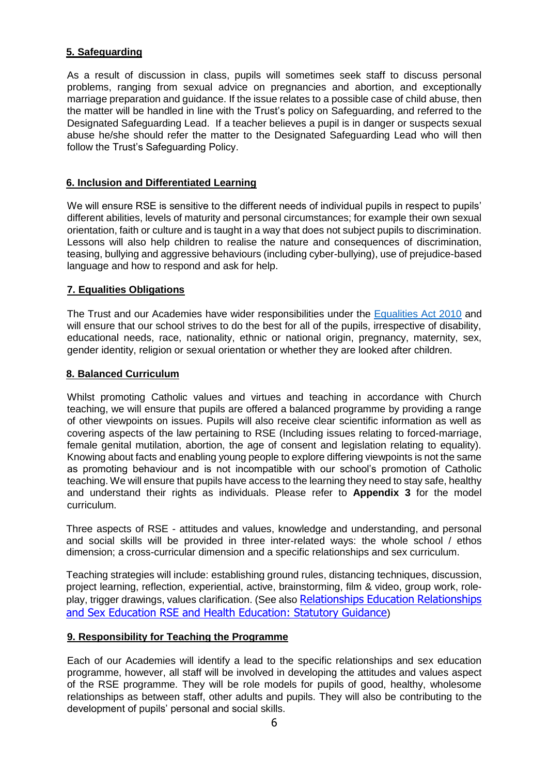#### **5. Safeguarding**

As a result of discussion in class, pupils will sometimes seek staff to discuss personal problems, ranging from sexual advice on pregnancies and abortion, and exceptionally marriage preparation and guidance. If the issue relates to a possible case of child abuse, then the matter will be handled in line with the Trust's policy on Safeguarding, and referred to the Designated Safeguarding Lead. If a teacher believes a pupil is in danger or suspects sexual abuse he/she should refer the matter to the Designated Safeguarding Lead who will then follow the Trust's Safeguarding Policy.

#### **6. Inclusion and Differentiated Learning**

We will ensure RSE is sensitive to the different needs of individual pupils in respect to pupils' different abilities, levels of maturity and personal circumstances; for example their own sexual orientation, faith or culture and is taught in a way that does not subject pupils to discrimination. Lessons will also help children to realise the nature and consequences of discrimination, teasing, bullying and aggressive behaviours (including cyber-bullying), use of prejudice-based language and how to respond and ask for help.

#### **7. Equalities Obligations**

The Trust and our Academies have wider responsibilities under the [Equalities Act 2010](http://www.legislation.gov.uk/ukpga/2010/15/contents) and will ensure that our school strives to do the best for all of the pupils, irrespective of disability, educational needs, race, nationality, ethnic or national origin, pregnancy, maternity, sex, gender identity, religion or sexual orientation or whether they are looked after children.

#### **8. Balanced Curriculum**

Whilst promoting Catholic values and virtues and teaching in accordance with Church teaching, we will ensure that pupils are offered a balanced programme by providing a range of other viewpoints on issues. Pupils will also receive clear scientific information as well as covering aspects of the law pertaining to RSE (Including issues relating to forced-marriage, female genital mutilation, abortion, the age of consent and legislation relating to equality). Knowing about facts and enabling young people to explore differing viewpoints is not the same as promoting behaviour and is not incompatible with our school's promotion of Catholic teaching. We will ensure that pupils have access to the learning they need to stay safe, healthy and understand their rights as individuals. Please refer to **Appendix 3** for the model curriculum.

Three aspects of RSE - attitudes and values, knowledge and understanding, and personal and social skills will be provided in three inter-related ways: the whole school / ethos dimension; a cross-curricular dimension and a specific relationships and sex curriculum.

Teaching strategies will include: establishing ground rules, distancing techniques, discussion, project learning, reflection, experiential, active, brainstorming, film & video, group work, roleplay, trigger drawings, values clarification. (See also [Relationships Education Relationships](https://assets.publishing.service.gov.uk/government/uploads/system/uploads/attachment_data/file/805781/Relationships_Education__Relationships_and_Sex_Education__RSE__and_Health_Education.pdf)  [and Sex Education RSE and Health Education: Statutory Guidance](https://assets.publishing.service.gov.uk/government/uploads/system/uploads/attachment_data/file/805781/Relationships_Education__Relationships_and_Sex_Education__RSE__and_Health_Education.pdf))

#### **9. Responsibility for Teaching the Programme**

Each of our Academies will identify a lead to the specific relationships and sex education programme, however, all staff will be involved in developing the attitudes and values aspect of the RSE programme. They will be role models for pupils of good, healthy, wholesome relationships as between staff, other adults and pupils. They will also be contributing to the development of pupils' personal and social skills.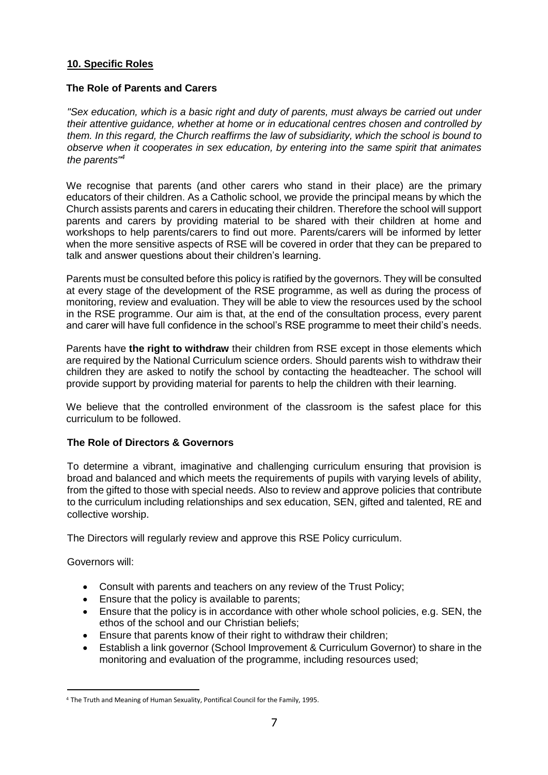#### **10. Specific Roles**

#### **The Role of Parents and Carers**

*"Sex education, which is a basic right and duty of parents, must always be carried out under their attentive guidance, whether at home or in educational centres chosen and controlled by them. In this regard, the Church reaffirms the law of subsidiarity, which the school is bound to observe when it cooperates in sex education, by entering into the same spirit that animates the parents"<sup>4</sup>* 

We recognise that parents (and other carers who stand in their place) are the primary educators of their children. As a Catholic school, we provide the principal means by which the Church assists parents and carers in educating their children. Therefore the school will support parents and carers by providing material to be shared with their children at home and workshops to help parents/carers to find out more. Parents/carers will be informed by letter when the more sensitive aspects of RSE will be covered in order that they can be prepared to talk and answer questions about their children's learning.

Parents must be consulted before this policy is ratified by the governors. They will be consulted at every stage of the development of the RSE programme, as well as during the process of monitoring, review and evaluation. They will be able to view the resources used by the school in the RSE programme. Our aim is that, at the end of the consultation process, every parent and carer will have full confidence in the school's RSE programme to meet their child's needs.

Parents have **the right to withdraw** their children from RSE except in those elements which are required by the National Curriculum science orders. Should parents wish to withdraw their children they are asked to notify the school by contacting the headteacher. The school will provide support by providing material for parents to help the children with their learning.

We believe that the controlled environment of the classroom is the safest place for this curriculum to be followed.

#### **The Role of Directors & Governors**

To determine a vibrant, imaginative and challenging curriculum ensuring that provision is broad and balanced and which meets the requirements of pupils with varying levels of ability, from the gifted to those with special needs. Also to review and approve policies that contribute to the curriculum including relationships and sex education, SEN, gifted and talented, RE and collective worship.

The Directors will regularly review and approve this RSE Policy curriculum.

Governors will:

- Consult with parents and teachers on any review of the Trust Policy;
- Ensure that the policy is available to parents;
- Ensure that the policy is in accordance with other whole school policies, e.g. SEN, the ethos of the school and our Christian beliefs;
- Ensure that parents know of their right to withdraw their children;
- Establish a link governor (School Improvement & Curriculum Governor) to share in the monitoring and evaluation of the programme, including resources used;

 $\overline{a}$ <sup>4</sup> The Truth and Meaning of Human Sexuality, Pontifical Council for the Family, 1995.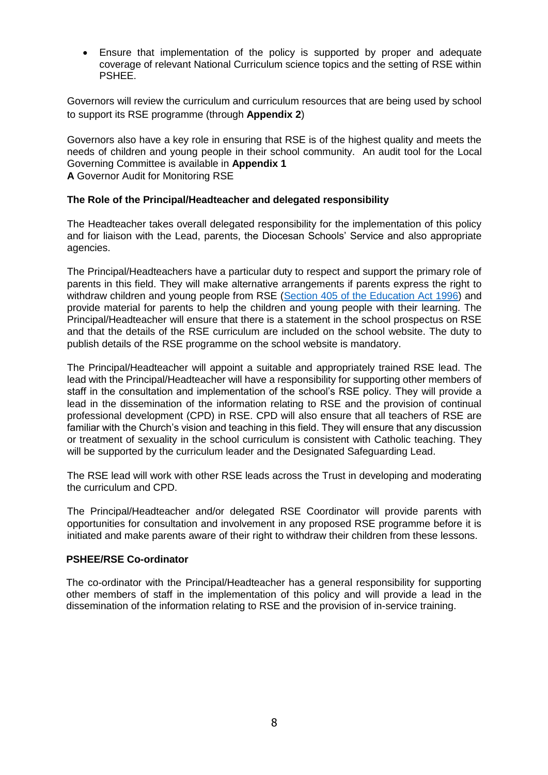• Ensure that implementation of the policy is supported by proper and adequate coverage of relevant National Curriculum science topics and the setting of RSE within PSHEE.

Governors will review the curriculum and curriculum resources that are being used by school to support its RSE programme (through **Appendix 2**)

Governors also have a key role in ensuring that RSE is of the highest quality and meets the needs of children and young people in their school community. An audit tool for the Local Governing Committee is available in **[Appendix 1](#page-12-0) A** [Governor Audit for Monitoring RSE](#page-12-0)

#### **The Role of the Principal/Headteacher and delegated responsibility**

The Headteacher takes overall delegated responsibility for the implementation of this policy and for liaison with the Lead, parents, the Diocesan Schools' Service and also appropriate agencies.

The Principal/Headteachers have a particular duty to respect and support the primary role of parents in this field. They will make alternative arrangements if parents express the right to withdraw children and young people from RSE [\(Section 405 of the Education Act 1996\)](http://www.legislation.gov.uk/ukpga/1996/56/section/405) and provide material for parents to help the children and young people with their learning. The Principal/Headteacher will ensure that there is a statement in the school prospectus on RSE and that the details of the RSE curriculum are included on the school website. The duty to publish details of the RSE programme on the school website is mandatory.

The Principal/Headteacher will appoint a suitable and appropriately trained RSE lead. The lead with the Principal/Headteacher will have a responsibility for supporting other members of staff in the consultation and implementation of the school's RSE policy. They will provide a lead in the dissemination of the information relating to RSE and the provision of continual professional development (CPD) in RSE. CPD will also ensure that all teachers of RSE are familiar with the Church's vision and teaching in this field. They will ensure that any discussion or treatment of sexuality in the school curriculum is consistent with Catholic teaching. They will be supported by the curriculum leader and the Designated Safeguarding Lead.

The RSE lead will work with other RSE leads across the Trust in developing and moderating the curriculum and CPD.

The Principal/Headteacher and/or delegated RSE Coordinator will provide parents with opportunities for consultation and involvement in any proposed RSE programme before it is initiated and make parents aware of their right to withdraw their children from these lessons.

#### **PSHEE/RSE Co-ordinator**

The co-ordinator with the Principal/Headteacher has a general responsibility for supporting other members of staff in the implementation of this policy and will provide a lead in the dissemination of the information relating to RSE and the provision of in-service training.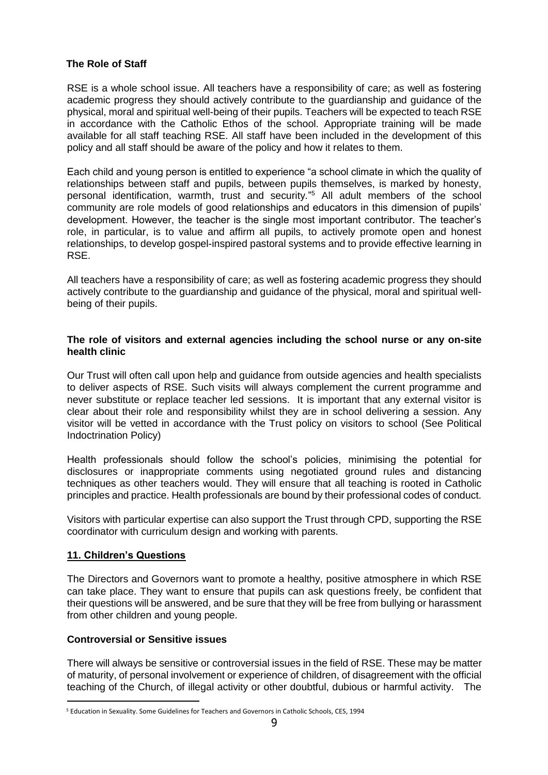#### **The Role of Staff**

RSE is a whole school issue. All teachers have a responsibility of care; as well as fostering academic progress they should actively contribute to the guardianship and guidance of the physical, moral and spiritual well-being of their pupils. Teachers will be expected to teach RSE in accordance with the Catholic Ethos of the school. Appropriate training will be made available for all staff teaching RSE. All staff have been included in the development of this policy and all staff should be aware of the policy and how it relates to them.

Each child and young person is entitled to experience "a school climate in which the quality of relationships between staff and pupils, between pupils themselves, is marked by honesty, personal identification, warmth, trust and security*.*" <sup>5</sup> All adult members of the school community are role models of good relationships and educators in this dimension of pupils' development. However, the teacher is the single most important contributor. The teacher's role, in particular, is to value and affirm all pupils, to actively promote open and honest relationships, to develop gospel-inspired pastoral systems and to provide effective learning in RSE.

All teachers have a responsibility of care; as well as fostering academic progress they should actively contribute to the guardianship and guidance of the physical, moral and spiritual wellbeing of their pupils.

#### **The role of visitors and external agencies including the school nurse or any on-site health clinic**

Our Trust will often call upon help and guidance from outside agencies and health specialists to deliver aspects of RSE. Such visits will always complement the current programme and never substitute or replace teacher led sessions. It is important that any external visitor is clear about their role and responsibility whilst they are in school delivering a session. Any visitor will be vetted in accordance with the Trust policy on visitors to school (See Political Indoctrination Policy)

Health professionals should follow the school's policies, minimising the potential for disclosures or inappropriate comments using negotiated ground rules and distancing techniques as other teachers would. They will ensure that all teaching is rooted in Catholic principles and practice. Health professionals are bound by their professional codes of conduct.

Visitors with particular expertise can also support the Trust through CPD, supporting the RSE coordinator with curriculum design and working with parents.

#### **11. Children's Questions**

 $\overline{a}$ 

The Directors and Governors want to promote a healthy, positive atmosphere in which RSE can take place. They want to ensure that pupils can ask questions freely, be confident that their questions will be answered, and be sure that they will be free from bullying or harassment from other children and young people.

#### **Controversial or Sensitive issues**

There will always be sensitive or controversial issues in the field of RSE. These may be matter of maturity, of personal involvement or experience of children, of disagreement with the official teaching of the Church, of illegal activity or other doubtful, dubious or harmful activity. The

<sup>5</sup> Education in Sexuality. Some Guidelines for Teachers and Governors in Catholic Schools, CES, 1994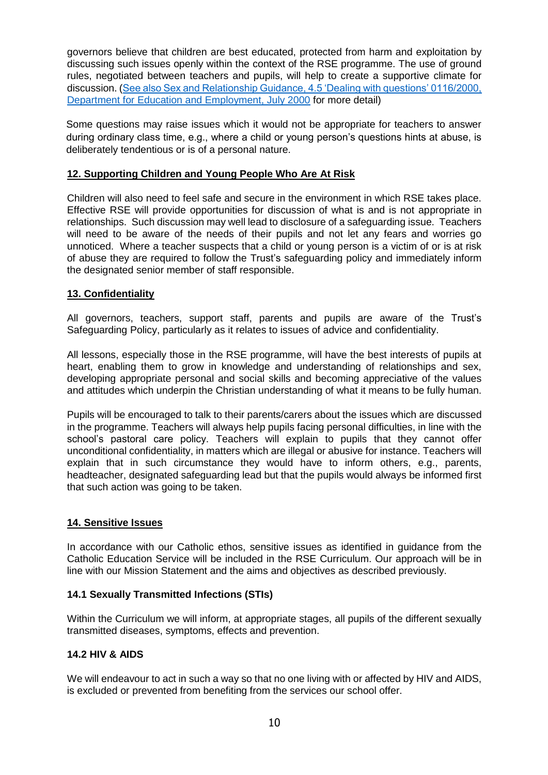governors believe that children are best educated, protected from harm and exploitation by discussing such issues openly within the context of the RSE programme. The use of ground rules, negotiated between teachers and pupils, will help to create a supportive climate for discussion. [\(See also Sex and Relationship Guidance, 4.5 'Dealing with questions' 0116/2000,](http://webarchive.nationalarchives.gov.uk/20130401151715/https:/www.education.gov.uk/publications/eorderingdownload/dfes-0116-2000%20sre.pdf)  [Department for Education and Employment, July 2000](http://webarchive.nationalarchives.gov.uk/20130401151715/https:/www.education.gov.uk/publications/eorderingdownload/dfes-0116-2000%20sre.pdf) for more detail)

Some questions may raise issues which it would not be appropriate for teachers to answer during ordinary class time, e.g., where a child or young person's questions hints at abuse, is deliberately tendentious or is of a personal nature.

#### **12. Supporting Children and Young People Who Are At Risk**

Children will also need to feel safe and secure in the environment in which RSE takes place. Effective RSE will provide opportunities for discussion of what is and is not appropriate in relationships. Such discussion may well lead to disclosure of a safeguarding issue. Teachers will need to be aware of the needs of their pupils and not let any fears and worries go unnoticed. Where a teacher suspects that a child or young person is a victim of or is at risk of abuse they are required to follow the Trust's safeguarding policy and immediately inform the designated senior member of staff responsible.

#### **13. Confidentiality**

All governors, teachers, support staff, parents and pupils are aware of the Trust's Safeguarding Policy, particularly as it relates to issues of advice and confidentiality.

All lessons, especially those in the RSE programme, will have the best interests of pupils at heart, enabling them to grow in knowledge and understanding of relationships and sex, developing appropriate personal and social skills and becoming appreciative of the values and attitudes which underpin the Christian understanding of what it means to be fully human.

Pupils will be encouraged to talk to their parents/carers about the issues which are discussed in the programme. Teachers will always help pupils facing personal difficulties, in line with the school's pastoral care policy. Teachers will explain to pupils that they cannot offer unconditional confidentiality, in matters which are illegal or abusive for instance. Teachers will explain that in such circumstance they would have to inform others, e.g., parents, headteacher, designated safeguarding lead but that the pupils would always be informed first that such action was going to be taken.

#### **14. Sensitive Issues**

In accordance with our Catholic ethos, sensitive issues as identified in guidance from the Catholic Education Service will be included in the RSE Curriculum. Our approach will be in line with our Mission Statement and the aims and objectives as described previously.

#### **14.1 Sexually Transmitted Infections (STIs)**

Within the Curriculum we will inform, at appropriate stages, all pupils of the different sexually transmitted diseases, symptoms, effects and prevention.

#### **14.2 HIV & AIDS**

We will endeavour to act in such a way so that no one living with or affected by HIV and AIDS, is excluded or prevented from benefiting from the services our school offer.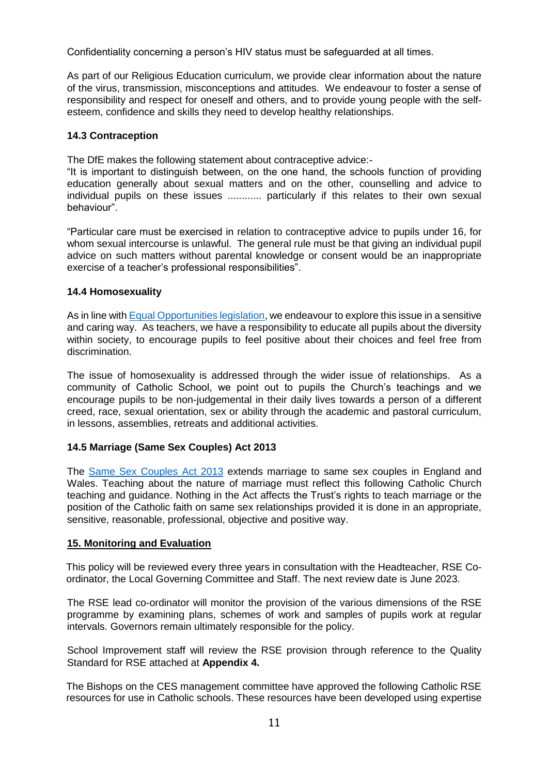Confidentiality concerning a person's HIV status must be safeguarded at all times.

As part of our Religious Education curriculum, we provide clear information about the nature of the virus, transmission, misconceptions and attitudes. We endeavour to foster a sense of responsibility and respect for oneself and others, and to provide young people with the selfesteem, confidence and skills they need to develop healthy relationships.

#### **14.3 Contraception**

The DfE makes the following statement about contraceptive advice:-

"It is important to distinguish between, on the one hand, the schools function of providing education generally about sexual matters and on the other, counselling and advice to individual pupils on these issues ............ particularly if this relates to their own sexual behaviour".

"Particular care must be exercised in relation to contraceptive advice to pupils under 16, for whom sexual intercourse is unlawful. The general rule must be that giving an individual pupil advice on such matters without parental knowledge or consent would be an inappropriate exercise of a teacher's professional responsibilities".

#### **14.4 Homosexuality**

As in line with [Equal Opportunities legislation,](http://www.legislation.gov.uk/ukpga/2010/15/contents) we endeavour to explore this issue in a sensitive and caring way. As teachers, we have a responsibility to educate all pupils about the diversity within society, to encourage pupils to feel positive about their choices and feel free from discrimination.

The issue of homosexuality is addressed through the wider issue of relationships. As a community of Catholic School, we point out to pupils the Church's teachings and we encourage pupils to be non-judgemental in their daily lives towards a person of a different creed, race, sexual orientation, sex or ability through the academic and pastoral curriculum, in lessons, assemblies, retreats and additional activities.

#### **14.5 Marriage (Same Sex Couples) Act 2013**

The [Same Sex Couples Act 2013](http://www.legislation.gov.uk/ukpga/2013/30/contents/enacted) extends marriage to same sex couples in England and Wales. Teaching about the nature of marriage must reflect this following Catholic Church teaching and guidance. Nothing in the Act affects the Trust's rights to teach marriage or the position of the Catholic faith on same sex relationships provided it is done in an appropriate, sensitive, reasonable, professional, objective and positive way.

#### **15. Monitoring and Evaluation**

This policy will be reviewed every three years in consultation with the Headteacher, RSE Coordinator, the Local Governing Committee and Staff. The next review date is June 2023.

The RSE lead co-ordinator will monitor the provision of the various dimensions of the RSE programme by examining plans, schemes of work and samples of pupils work at regular intervals. Governors remain ultimately responsible for the policy.

School Improvement staff will review the RSE provision through reference to the Quality Standard for RSE attached at **Appendix 4.**

The Bishops on the CES management committee have approved the following Catholic RSE resources for use in Catholic schools. These resources have been developed using expertise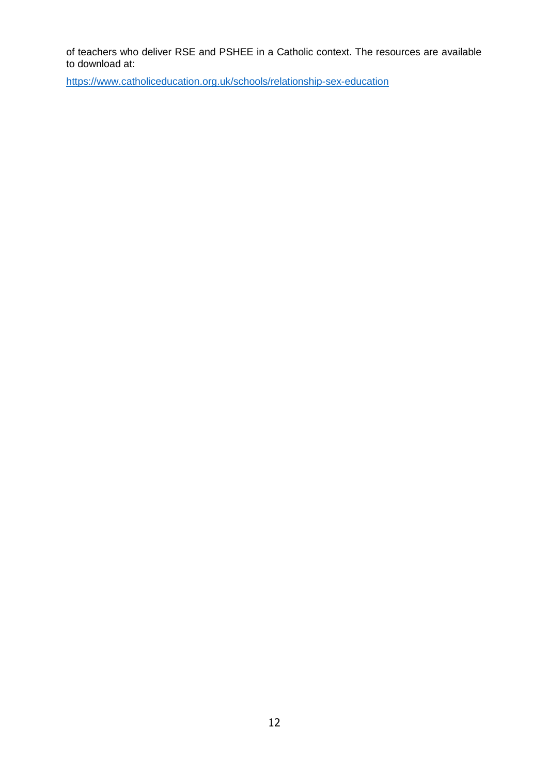of teachers who deliver RSE and PSHEE in a Catholic context. The resources are available to download at:

<https://www.catholiceducation.org.uk/schools/relationship-sex-education>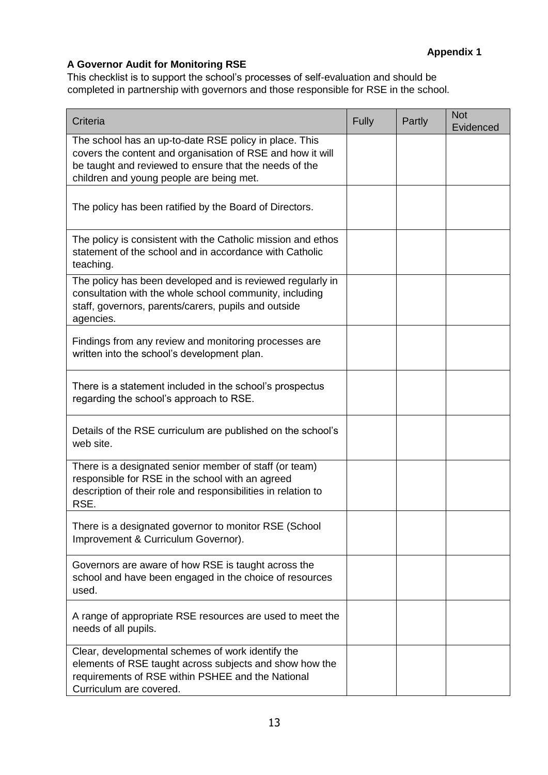#### <span id="page-12-0"></span>**A Governor Audit for Monitoring RSE**

This checklist is to support the school's processes of self-evaluation and should be completed in partnership with governors and those responsible for RSE in the school.

| Criteria                                                                                                                                                                                                                   | Fully | Partly | <b>Not</b><br>Evidenced |
|----------------------------------------------------------------------------------------------------------------------------------------------------------------------------------------------------------------------------|-------|--------|-------------------------|
| The school has an up-to-date RSE policy in place. This<br>covers the content and organisation of RSE and how it will<br>be taught and reviewed to ensure that the needs of the<br>children and young people are being met. |       |        |                         |
| The policy has been ratified by the Board of Directors.                                                                                                                                                                    |       |        |                         |
| The policy is consistent with the Catholic mission and ethos<br>statement of the school and in accordance with Catholic<br>teaching.                                                                                       |       |        |                         |
| The policy has been developed and is reviewed regularly in<br>consultation with the whole school community, including<br>staff, governors, parents/carers, pupils and outside<br>agencies.                                 |       |        |                         |
| Findings from any review and monitoring processes are<br>written into the school's development plan.                                                                                                                       |       |        |                         |
| There is a statement included in the school's prospectus<br>regarding the school's approach to RSE.                                                                                                                        |       |        |                         |
| Details of the RSE curriculum are published on the school's<br>web site.                                                                                                                                                   |       |        |                         |
| There is a designated senior member of staff (or team)<br>responsible for RSE in the school with an agreed<br>description of their role and responsibilities in relation to<br>RSE.                                        |       |        |                         |
| There is a designated governor to monitor RSE (School<br>Improvement & Curriculum Governor).                                                                                                                               |       |        |                         |
| Governors are aware of how RSE is taught across the<br>school and have been engaged in the choice of resources<br>used.                                                                                                    |       |        |                         |
| A range of appropriate RSE resources are used to meet the<br>needs of all pupils.                                                                                                                                          |       |        |                         |
| Clear, developmental schemes of work identify the<br>elements of RSE taught across subjects and show how the<br>requirements of RSE within PSHEE and the National<br>Curriculum are covered.                               |       |        |                         |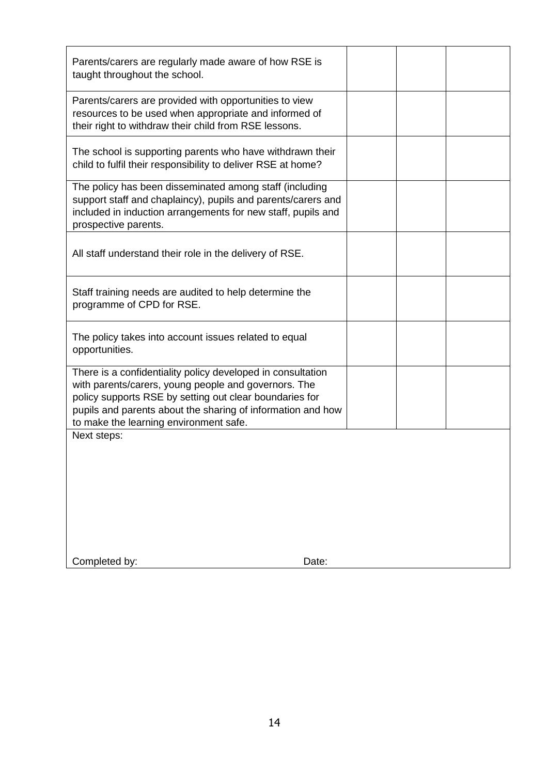| Parents/carers are regularly made aware of how RSE is<br>taught throughout the school.                                                                                                                                                                                                  |  |  |
|-----------------------------------------------------------------------------------------------------------------------------------------------------------------------------------------------------------------------------------------------------------------------------------------|--|--|
| Parents/carers are provided with opportunities to view<br>resources to be used when appropriate and informed of<br>their right to withdraw their child from RSE lessons.                                                                                                                |  |  |
| The school is supporting parents who have withdrawn their<br>child to fulfil their responsibility to deliver RSE at home?                                                                                                                                                               |  |  |
| The policy has been disseminated among staff (including<br>support staff and chaplaincy), pupils and parents/carers and<br>included in induction arrangements for new staff, pupils and<br>prospective parents.                                                                         |  |  |
| All staff understand their role in the delivery of RSE.                                                                                                                                                                                                                                 |  |  |
| Staff training needs are audited to help determine the<br>programme of CPD for RSE.                                                                                                                                                                                                     |  |  |
| The policy takes into account issues related to equal<br>opportunities.                                                                                                                                                                                                                 |  |  |
| There is a confidentiality policy developed in consultation<br>with parents/carers, young people and governors. The<br>policy supports RSE by setting out clear boundaries for<br>pupils and parents about the sharing of information and how<br>to make the learning environment safe. |  |  |
| Next steps:                                                                                                                                                                                                                                                                             |  |  |
|                                                                                                                                                                                                                                                                                         |  |  |
|                                                                                                                                                                                                                                                                                         |  |  |
|                                                                                                                                                                                                                                                                                         |  |  |
|                                                                                                                                                                                                                                                                                         |  |  |
| Completed by:<br>Date:                                                                                                                                                                                                                                                                  |  |  |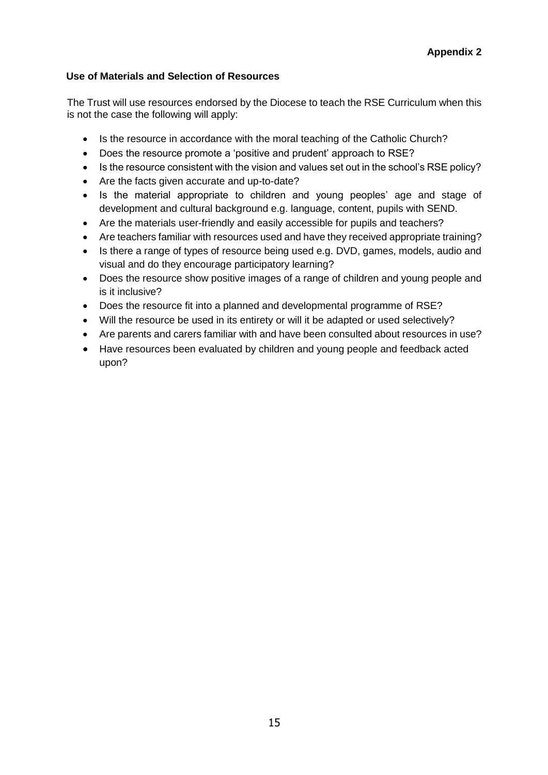#### **Use of Materials and Selection of Resources**

The Trust will use resources endorsed by the Diocese to teach the RSE Curriculum when this is not the case the following will apply:

- Is the resource in accordance with the moral teaching of the Catholic Church?
- Does the resource promote a 'positive and prudent' approach to RSE?
- Is the resource consistent with the vision and values set out in the school's RSE policy?
- Are the facts given accurate and up-to-date?
- Is the material appropriate to children and young peoples' age and stage of development and cultural background e.g. language, content, pupils with SEND.
- Are the materials user-friendly and easily accessible for pupils and teachers?
- Are teachers familiar with resources used and have they received appropriate training?
- Is there a range of types of resource being used e.g. DVD, games, models, audio and visual and do they encourage participatory learning?
- Does the resource show positive images of a range of children and young people and is it inclusive?
- Does the resource fit into a planned and developmental programme of RSE?
- Will the resource be used in its entirety or will it be adapted or used selectively?
- Are parents and carers familiar with and have been consulted about resources in use?
- Have resources been evaluated by children and young people and feedback acted upon?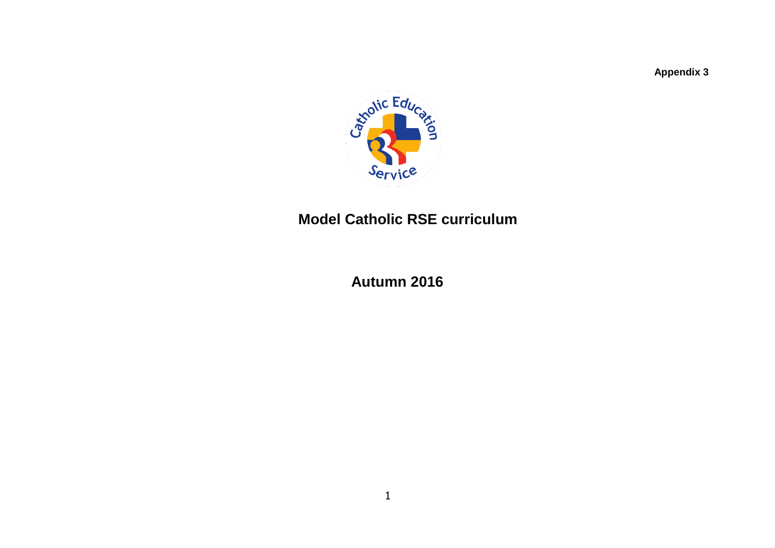**Appendix 3**



## **Model Catholic RSE curriculum**

 **Autumn 2016**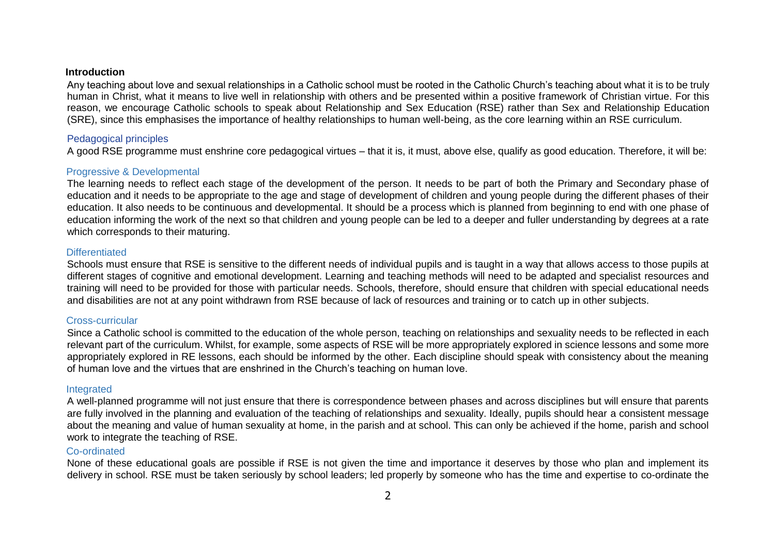#### **Introduction**

Any teaching about love and sexual relationships in a Catholic school must be rooted in the Catholic Church's teaching about what it is to be truly human in Christ, what it means to live well in relationship with others and be presented within a positive framework of Christian virtue. For this reason, we encourage Catholic schools to speak about Relationship and Sex Education (RSE) rather than Sex and Relationship Education (SRE), since this emphasises the importance of healthy relationships to human well-being, as the core learning within an RSE curriculum.

#### Pedagogical principles

A good RSE programme must enshrine core pedagogical virtues – that it is, it must, above else, qualify as good education. Therefore, it will be:

#### Progressive & Developmental

The learning needs to reflect each stage of the development of the person. It needs to be part of both the Primary and Secondary phase of education and it needs to be appropriate to the age and stage of development of children and young people during the different phases of their education. It also needs to be continuous and developmental. It should be a process which is planned from beginning to end with one phase of education informing the work of the next so that children and young people can be led to a deeper and fuller understanding by degrees at a rate which corresponds to their maturing.

#### **Differentiated**

Schools must ensure that RSE is sensitive to the different needs of individual pupils and is taught in a way that allows access to those pupils at different stages of cognitive and emotional development. Learning and teaching methods will need to be adapted and specialist resources and training will need to be provided for those with particular needs. Schools, therefore, should ensure that children with special educational needs and disabilities are not at any point withdrawn from RSE because of lack of resources and training or to catch up in other subjects.

#### Cross-curricular

Since a Catholic school is committed to the education of the whole person, teaching on relationships and sexuality needs to be reflected in each relevant part of the curriculum. Whilst, for example, some aspects of RSE will be more appropriately explored in science lessons and some more appropriately explored in RE lessons, each should be informed by the other. Each discipline should speak with consistency about the meaning of human love and the virtues that are enshrined in the Church's teaching on human love.

#### Integrated

A well-planned programme will not just ensure that there is correspondence between phases and across disciplines but will ensure that parents are fully involved in the planning and evaluation of the teaching of relationships and sexuality. Ideally, pupils should hear a consistent message about the meaning and value of human sexuality at home, in the parish and at school. This can only be achieved if the home, parish and school work to integrate the teaching of RSE.

#### Co-ordinated

None of these educational goals are possible if RSE is not given the time and importance it deserves by those who plan and implement its delivery in school. RSE must be taken seriously by school leaders; led properly by someone who has the time and expertise to co-ordinate the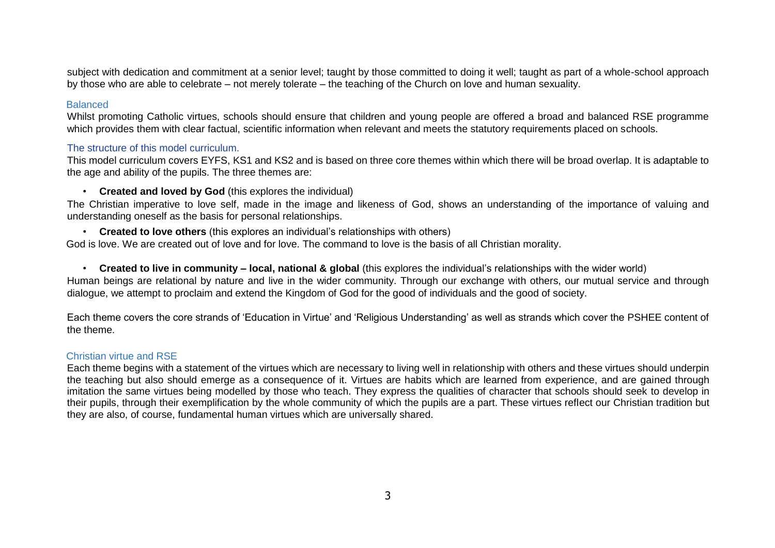subject with dedication and commitment at a senior level; taught by those committed to doing it well; taught as part of a whole-school approach by those who are able to celebrate – not merely tolerate – the teaching of the Church on love and human sexuality.

#### **Balanced**

Whilst promoting Catholic virtues, schools should ensure that children and young people are offered a broad and balanced RSE programme which provides them with clear factual, scientific information when relevant and meets the statutory requirements placed on schools.

#### The structure of this model curriculum.

This model curriculum covers EYFS, KS1 and KS2 and is based on three core themes within which there will be broad overlap. It is adaptable to the age and ability of the pupils. The three themes are:

• **Created and loved by God** (this explores the individual)

The Christian imperative to love self, made in the image and likeness of God, shows an understanding of the importance of valuing and understanding oneself as the basis for personal relationships.

• **Created to love others** (this explores an individual's relationships with others)

God is love. We are created out of love and for love. The command to love is the basis of all Christian morality.

• **Created to live in community – local, national & global** (this explores the individual's relationships with the wider world) Human beings are relational by nature and live in the wider community. Through our exchange with others, our mutual service and through dialogue, we attempt to proclaim and extend the Kingdom of God for the good of individuals and the good of society.

Each theme covers the core strands of 'Education in Virtue' and 'Religious Understanding' as well as strands which cover the PSHEE content of the theme.

#### Christian virtue and RSE

Each theme begins with a statement of the virtues which are necessary to living well in relationship with others and these virtues should underpin the teaching but also should emerge as a consequence of it. Virtues are habits which are learned from experience, and are gained through imitation the same virtues being modelled by those who teach. They express the qualities of character that schools should seek to develop in their pupils, through their exemplification by the whole community of which the pupils are a part. These virtues reflect our Christian tradition but they are also, of course, fundamental human virtues which are universally shared.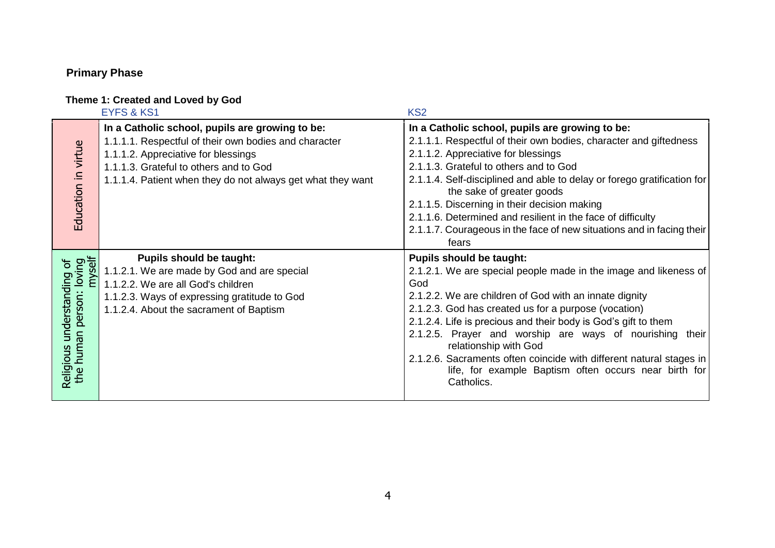## **Primary Phase**

#### **Theme 1: Created and Loved by God**

|                                                                           | <b>EYFS &amp; KS1</b>                                                                                                                                                                                                                                    | KS <sub>2</sub>                                                                                                                                                                                                                                                                                                                                                                                                                                                                                                                   |
|---------------------------------------------------------------------------|----------------------------------------------------------------------------------------------------------------------------------------------------------------------------------------------------------------------------------------------------------|-----------------------------------------------------------------------------------------------------------------------------------------------------------------------------------------------------------------------------------------------------------------------------------------------------------------------------------------------------------------------------------------------------------------------------------------------------------------------------------------------------------------------------------|
| Education in virtue                                                       | In a Catholic school, pupils are growing to be:<br>1.1.1.1. Respectful of their own bodies and character<br>1.1.1.2. Appreciative for blessings<br>1.1.1.3. Grateful to others and to God<br>1.1.1.4. Patient when they do not always get what they want | In a Catholic school, pupils are growing to be:<br>2.1.1.1. Respectful of their own bodies, character and giftedness<br>2.1.1.2. Appreciative for blessings<br>2.1.1.3. Grateful to others and to God<br>2.1.1.4. Self-disciplined and able to delay or forego gratification for<br>the sake of greater goods<br>2.1.1.5. Discerning in their decision making<br>2.1.1.6. Determined and resilient in the face of difficulty<br>2.1.1.7. Courageous in the face of new situations and in facing their<br>fears                    |
| loving<br>myself<br>$\sigma$<br>understanding<br>person:<br>Religious uno | <b>Pupils should be taught:</b><br>1.1.2.1. We are made by God and are special<br>1.1.2.2. We are all God's children<br>1.1.2.3. Ways of expressing gratitude to God<br>1.1.2.4. About the sacrament of Baptism                                          | <b>Pupils should be taught:</b><br>2.1.2.1. We are special people made in the image and likeness of<br>God<br>2.1.2.2. We are children of God with an innate dignity<br>2.1.2.3. God has created us for a purpose (vocation)<br>2.1.2.4. Life is precious and their body is God's gift to them<br>2.1.2.5. Prayer and worship are ways of nourishing their<br>relationship with God<br>2.1.2.6. Sacraments often coincide with different natural stages in<br>life, for example Baptism often occurs near birth for<br>Catholics. |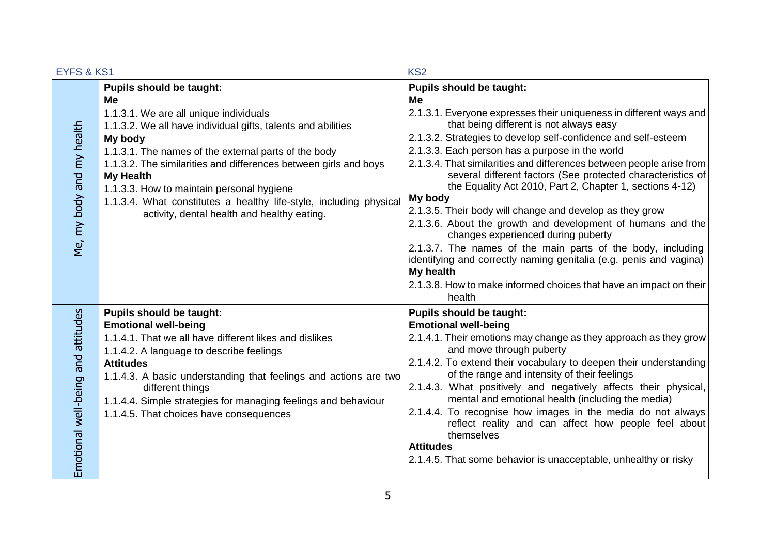| <b>EYFS &amp; KS1</b>              |                                                                                                                                                                                                                                                                                                                                                                                                                                                                              | KS <sub>2</sub>                                                                                                                                                                                                                                                                                                                                                                                                                                                                                                                                                                                                                                                                                                                                                                                                                                                                              |
|------------------------------------|------------------------------------------------------------------------------------------------------------------------------------------------------------------------------------------------------------------------------------------------------------------------------------------------------------------------------------------------------------------------------------------------------------------------------------------------------------------------------|----------------------------------------------------------------------------------------------------------------------------------------------------------------------------------------------------------------------------------------------------------------------------------------------------------------------------------------------------------------------------------------------------------------------------------------------------------------------------------------------------------------------------------------------------------------------------------------------------------------------------------------------------------------------------------------------------------------------------------------------------------------------------------------------------------------------------------------------------------------------------------------------|
| Me, my body and my health          | <b>Pupils should be taught:</b><br>Me<br>1.1.3.1. We are all unique individuals<br>1.1.3.2. We all have individual gifts, talents and abilities<br>My body<br>1.1.3.1. The names of the external parts of the body<br>1.1.3.2. The similarities and differences between girls and boys<br><b>My Health</b><br>1.1.3.3. How to maintain personal hygiene<br>1.1.3.4. What constitutes a healthy life-style, including physical<br>activity, dental health and healthy eating. | <b>Pupils should be taught:</b><br>Me<br>2.1.3.1. Everyone expresses their uniqueness in different ways and<br>that being different is not always easy<br>2.1.3.2. Strategies to develop self-confidence and self-esteem<br>2.1.3.3. Each person has a purpose in the world<br>2.1.3.4. That similarities and differences between people arise from<br>several different factors (See protected characteristics of<br>the Equality Act 2010, Part 2, Chapter 1, sections 4-12)<br>My body<br>2.1.3.5. Their body will change and develop as they grow<br>2.1.3.6. About the growth and development of humans and the<br>changes experienced during puberty<br>2.1.3.7. The names of the main parts of the body, including<br>identifying and correctly naming genitalia (e.g. penis and vagina)<br>My health<br>2.1.3.8. How to make informed choices that have an impact on their<br>health |
| Emotional well-being and attitudes | <b>Pupils should be taught:</b><br><b>Emotional well-being</b><br>1.1.4.1. That we all have different likes and dislikes<br>1.1.4.2. A language to describe feelings<br><b>Attitudes</b><br>1.1.4.3. A basic understanding that feelings and actions are two<br>different things<br>1.1.4.4. Simple strategies for managing feelings and behaviour<br>1.1.4.5. That choices have consequences                                                                                | <b>Pupils should be taught:</b><br><b>Emotional well-being</b><br>2.1.4.1. Their emotions may change as they approach as they grow<br>and move through puberty<br>2.1.4.2. To extend their vocabulary to deepen their understanding<br>of the range and intensity of their feelings<br>2.1.4.3. What positively and negatively affects their physical,<br>mental and emotional health (including the media)<br>2.1.4.4. To recognise how images in the media do not always<br>reflect reality and can affect how people feel about<br>themselves<br><b>Attitudes</b><br>2.1.4.5. That some behavior is unacceptable, unhealthy or risky                                                                                                                                                                                                                                                      |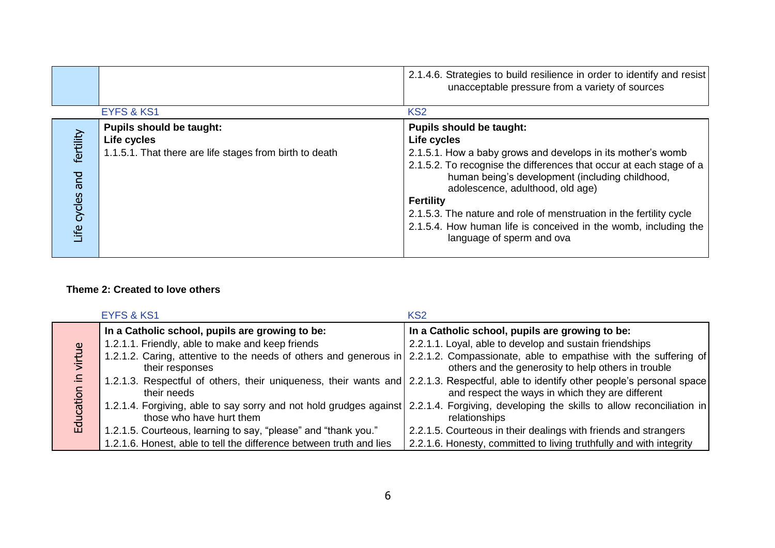|                                 |                                                                                                           | 2.1.4.6. Strategies to build resilience in order to identify and resist<br>unacceptable pressure from a variety of sources                                                                                                                                                                                                                                                                                                                                             |
|---------------------------------|-----------------------------------------------------------------------------------------------------------|------------------------------------------------------------------------------------------------------------------------------------------------------------------------------------------------------------------------------------------------------------------------------------------------------------------------------------------------------------------------------------------------------------------------------------------------------------------------|
|                                 | <b>EYFS &amp; KS1</b>                                                                                     | KS <sub>2</sub>                                                                                                                                                                                                                                                                                                                                                                                                                                                        |
| fertility<br>bue<br>Life cycles | <b>Pupils should be taught:</b><br>Life cycles<br>1.1.5.1. That there are life stages from birth to death | <b>Pupils should be taught:</b><br>Life cycles<br>2.1.5.1. How a baby grows and develops in its mother's womb<br>2.1.5.2. To recognise the differences that occur at each stage of a<br>human being's development (including childhood,<br>adolescence, adulthood, old age)<br><b>Fertility</b><br>2.1.5.3. The nature and role of menstruation in the fertility cycle<br>2.1.5.4. How human life is conceived in the womb, including the<br>language of sperm and ova |

#### **Theme 2: Created to love others**

|               | <b>EYFS &amp; KS1</b>                                               | KS <sub>2</sub>                                                                                                                                                                          |
|---------------|---------------------------------------------------------------------|------------------------------------------------------------------------------------------------------------------------------------------------------------------------------------------|
|               | In a Catholic school, pupils are growing to be:                     | In a Catholic school, pupils are growing to be:                                                                                                                                          |
| $\omega$<br>ō | 1.2.1.1. Friendly, able to make and keep friends                    | 2.2.1.1. Loyal, able to develop and sustain friendships                                                                                                                                  |
|               | their responses                                                     | 1.2.1.2. Caring, attentive to the needs of others and generous in 2.2.1.2. Compassionate, able to empathise with the suffering of<br>others and the generosity to help others in trouble |
|               | their needs                                                         | 1.2.1.3. Respectful of others, their uniqueness, their wants and 2.2.1.3. Respectful, able to identify other people's personal space<br>and respect the ways in which they are different |
|               | those who have hurt them                                            | 1.2.1.4. Forgiving, able to say sorry and not hold grudges against 2.2.1.4. Forgiving, developing the skills to allow reconciliation in<br>relationships                                 |
| 료             | 1.2.1.5. Courteous, learning to say, "please" and "thank you."      | 2.2.1.5. Courteous in their dealings with friends and strangers                                                                                                                          |
|               | 1.2.1.6. Honest, able to tell the difference between truth and lies | 2.2.1.6. Honesty, committed to living truthfully and with integrity                                                                                                                      |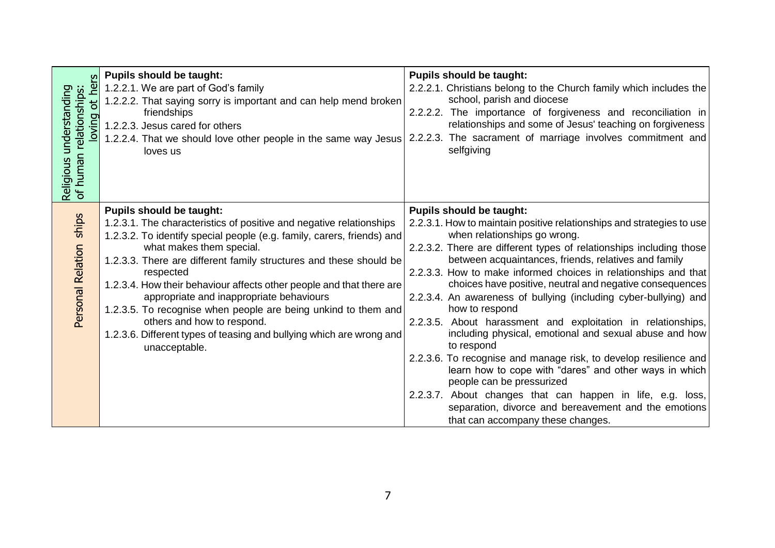|                                                                                | <b>Pupils should be taught:</b>                                                                                                                                                                                                                                                                                                                                                                                                                                                                                                                                                                              | <b>Pupils should be taught:</b>                                                                                                                                                                                                                                                                                                                                                                                                                                                                                                                                                                                                                                                                                                                                                                                                                                                                                       |
|--------------------------------------------------------------------------------|--------------------------------------------------------------------------------------------------------------------------------------------------------------------------------------------------------------------------------------------------------------------------------------------------------------------------------------------------------------------------------------------------------------------------------------------------------------------------------------------------------------------------------------------------------------------------------------------------------------|-----------------------------------------------------------------------------------------------------------------------------------------------------------------------------------------------------------------------------------------------------------------------------------------------------------------------------------------------------------------------------------------------------------------------------------------------------------------------------------------------------------------------------------------------------------------------------------------------------------------------------------------------------------------------------------------------------------------------------------------------------------------------------------------------------------------------------------------------------------------------------------------------------------------------|
| hers                                                                           | 1.2.2.1. We are part of God's family                                                                                                                                                                                                                                                                                                                                                                                                                                                                                                                                                                         | 2.2.2.1. Christians belong to the Church family which includes the                                                                                                                                                                                                                                                                                                                                                                                                                                                                                                                                                                                                                                                                                                                                                                                                                                                    |
| Religious understanding<br>of human relationships:<br>$\overline{a}$<br>loving | 1.2.2.2. That saying sorry is important and can help mend broken<br>friendships<br>1.2.2.3. Jesus cared for others<br>1.2.2.4. That we should love other people in the same way Jesus<br>loves us                                                                                                                                                                                                                                                                                                                                                                                                            | school, parish and diocese<br>2.2.2.2. The importance of forgiveness and reconciliation in<br>relationships and some of Jesus' teaching on forgiveness<br>2.2.2.3. The sacrament of marriage involves commitment and<br>selfgiving                                                                                                                                                                                                                                                                                                                                                                                                                                                                                                                                                                                                                                                                                    |
|                                                                                |                                                                                                                                                                                                                                                                                                                                                                                                                                                                                                                                                                                                              |                                                                                                                                                                                                                                                                                                                                                                                                                                                                                                                                                                                                                                                                                                                                                                                                                                                                                                                       |
| ships<br>Personal Relation                                                     | <b>Pupils should be taught:</b><br>1.2.3.1. The characteristics of positive and negative relationships<br>1.2.3.2. To identify special people (e.g. family, carers, friends) and<br>what makes them special.<br>1.2.3.3. There are different family structures and these should be<br>respected<br>1.2.3.4. How their behaviour affects other people and that there are<br>appropriate and inappropriate behaviours<br>1.2.3.5. To recognise when people are being unkind to them and<br>others and how to respond.<br>1.2.3.6. Different types of teasing and bullying which are wrong and<br>unacceptable. | <b>Pupils should be taught:</b><br>2.2.3.1. How to maintain positive relationships and strategies to use<br>when relationships go wrong.<br>2.2.3.2. There are different types of relationships including those<br>between acquaintances, friends, relatives and family<br>2.2.3.3. How to make informed choices in relationships and that<br>choices have positive, neutral and negative consequences<br>2.2.3.4. An awareness of bullying (including cyber-bullying) and<br>how to respond<br>2.2.3.5. About harassment and exploitation in relationships,<br>including physical, emotional and sexual abuse and how<br>to respond<br>2.2.3.6. To recognise and manage risk, to develop resilience and<br>learn how to cope with "dares" and other ways in which<br>people can be pressurized<br>2.2.3.7. About changes that can happen in life, e.g. loss,<br>separation, divorce and bereavement and the emotions |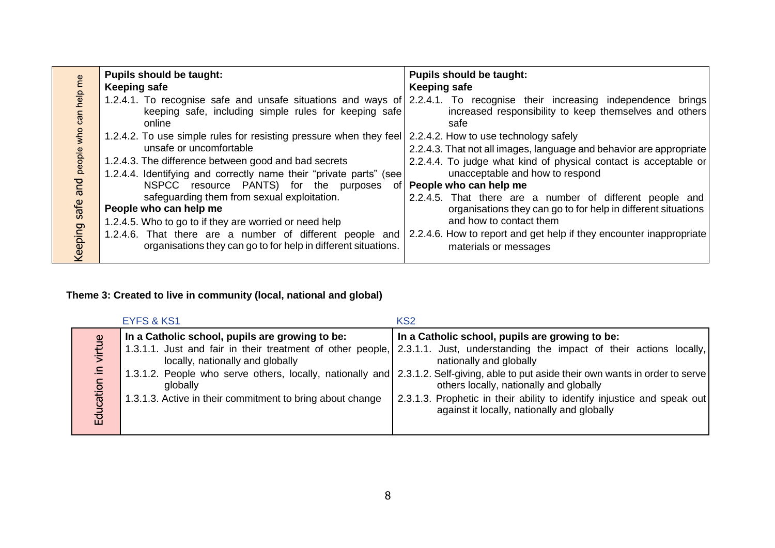|                              | <b>Pupils should be taught:</b>                                                                                                                                                                                                                                                                                                                                                                                                                                                                            | <b>Pupils should be taught:</b>                                                                                                                                                                                                                                                                                                                                                                                                          |
|------------------------------|------------------------------------------------------------------------------------------------------------------------------------------------------------------------------------------------------------------------------------------------------------------------------------------------------------------------------------------------------------------------------------------------------------------------------------------------------------------------------------------------------------|------------------------------------------------------------------------------------------------------------------------------------------------------------------------------------------------------------------------------------------------------------------------------------------------------------------------------------------------------------------------------------------------------------------------------------------|
|                              | <b>Keeping safe</b>                                                                                                                                                                                                                                                                                                                                                                                                                                                                                        | Keeping safe                                                                                                                                                                                                                                                                                                                                                                                                                             |
| help me<br>can               | keeping safe, including simple rules for keeping safe<br>online                                                                                                                                                                                                                                                                                                                                                                                                                                            | 1.2.4.1. To recognise safe and unsafe situations and ways of 2.2.4.1. To recognise their increasing independence brings<br>increased responsibility to keep themselves and others<br>safe                                                                                                                                                                                                                                                |
| who<br>people<br>pue<br>safe | 1.2.4.2. To use simple rules for resisting pressure when they feel 2.2.4.2. How to use technology safely<br>unsafe or uncomfortable<br>1.2.4.3. The difference between good and bad secrets<br>1.2.4.4. Identifying and correctly name their "private parts" (see<br>NSPCC resource PANTS) for the purposes<br>safeguarding them from sexual exploitation.<br>People who can help me<br>1.2.4.5. Who to go to if they are worried or need help<br>1.2.4.6. That there are a number of different people and | 2.2.4.3. That not all images, language and behavior are appropriate<br>2.2.4.4. To judge what kind of physical contact is acceptable or<br>unacceptable and how to respond<br>of   People who can help me<br>2.2.4.5. That there are a number of different people and<br>organisations they can go to for help in different situations<br>and how to contact them<br>2.2.4.6. How to report and get help if they encounter inappropriate |
| Keeping                      | organisations they can go to for help in different situations.                                                                                                                                                                                                                                                                                                                                                                                                                                             | materials or messages                                                                                                                                                                                                                                                                                                                                                                                                                    |

### **Theme 3: Created to live in community (local, national and global)**

|                                    | <b>EYFS &amp; KS1</b>                                                                                                                                        | KS <sub>2</sub>                                                                                                                                                                                                                                                                                                                                                                                                                                                                                                        |
|------------------------------------|--------------------------------------------------------------------------------------------------------------------------------------------------------------|------------------------------------------------------------------------------------------------------------------------------------------------------------------------------------------------------------------------------------------------------------------------------------------------------------------------------------------------------------------------------------------------------------------------------------------------------------------------------------------------------------------------|
| $\mathfrak{S}$<br>le,<br>Education | In a Catholic school, pupils are growing to be:<br>locally, nationally and globally<br>globally<br>1.3.1.3. Active in their commitment to bring about change | In a Catholic school, pupils are growing to be:<br>1.3.1.1. Just and fair in their treatment of other people, 2.3.1.1. Just, understanding the impact of their actions locally,<br>nationally and globally<br>1.3.1.2. People who serve others, locally, nationally and 2.3.1.2. Self-giving, able to put aside their own wants in order to serve<br>others locally, nationally and globally<br>2.3.1.3. Prophetic in their ability to identify injustice and speak out<br>against it locally, nationally and globally |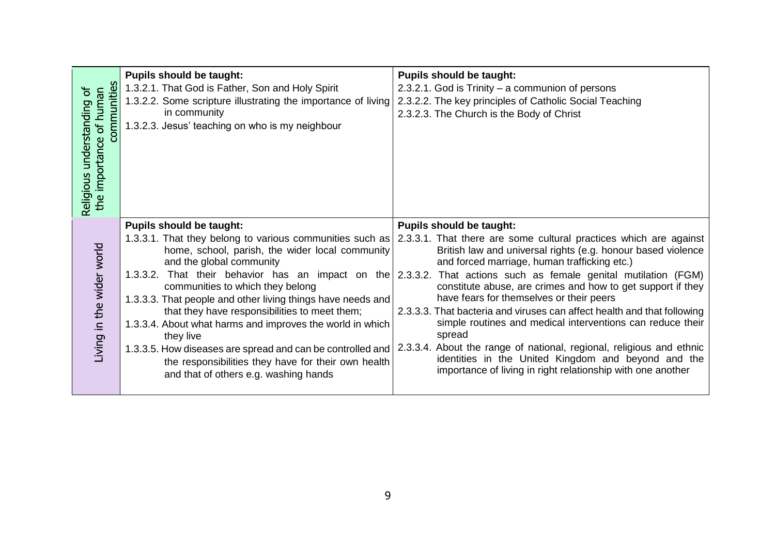| communities<br>the importance of human<br>'ত<br>understanding<br>Religious | <b>Pupils should be taught:</b><br>1.3.2.1. That God is Father, Son and Holy Spirit<br>1.3.2.2. Some scripture illustrating the importance of living<br>in community<br>1.3.2.3. Jesus' teaching on who is my neighbour                                                                                                                                                                                                                                                                                                                                                | <b>Pupils should be taught:</b><br>2.3.2.1. God is Trinity - a communion of persons<br>2.3.2.2. The key principles of Catholic Social Teaching<br>2.3.2.3. The Church is the Body of Christ                                                                                                                                                                                                                                                                                                                                                                                                                                                                                                                                                                                                         |
|----------------------------------------------------------------------------|------------------------------------------------------------------------------------------------------------------------------------------------------------------------------------------------------------------------------------------------------------------------------------------------------------------------------------------------------------------------------------------------------------------------------------------------------------------------------------------------------------------------------------------------------------------------|-----------------------------------------------------------------------------------------------------------------------------------------------------------------------------------------------------------------------------------------------------------------------------------------------------------------------------------------------------------------------------------------------------------------------------------------------------------------------------------------------------------------------------------------------------------------------------------------------------------------------------------------------------------------------------------------------------------------------------------------------------------------------------------------------------|
| Living in the wider world                                                  | <b>Pupils should be taught:</b><br>1.3.3.1. That they belong to various communities such as<br>home, school, parish, the wider local community<br>and the global community<br>communities to which they belong<br>1.3.3.3. That people and other living things have needs and<br>that they have responsibilities to meet them;<br>1.3.3.4. About what harms and improves the world in which<br>they live<br>1.3.3.5. How diseases are spread and can be controlled and<br>the responsibilities they have for their own health<br>and that of others e.g. washing hands | <b>Pupils should be taught:</b><br>2.3.3.1. That there are some cultural practices which are against<br>British law and universal rights (e.g. honour based violence<br>and forced marriage, human trafficking etc.)<br>1.3.3.2. That their behavior has an impact on the 2.3.3.2. That actions such as female genital mutilation (FGM)<br>constitute abuse, are crimes and how to get support if they<br>have fears for themselves or their peers<br>2.3.3.3. That bacteria and viruses can affect health and that following<br>simple routines and medical interventions can reduce their<br>spread<br>2.3.3.4. About the range of national, regional, religious and ethnic<br>identities in the United Kingdom and beyond and the<br>importance of living in right relationship with one another |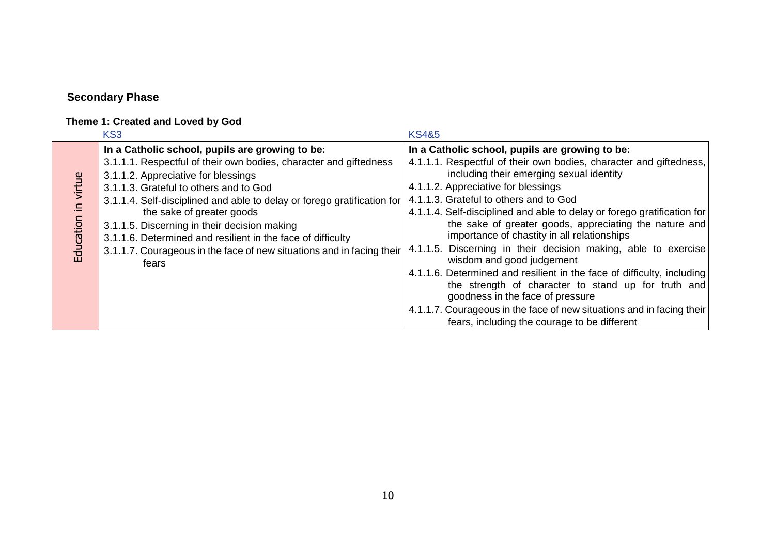## **Secondary Phase**

#### **Theme 1: Created and Loved by God**

|           | KS3                                                                            | <b>KS4&amp;5</b>                                                                            |
|-----------|--------------------------------------------------------------------------------|---------------------------------------------------------------------------------------------|
|           | In a Catholic school, pupils are growing to be:                                | In a Catholic school, pupils are growing to be:                                             |
|           | 3.1.1.1. Respectful of their own bodies, character and giftedness              | 4.1.1.1. Respectful of their own bodies, character and giftedness,                          |
|           | 3.1.1.2. Appreciative for blessings                                            | including their emerging sexual identity                                                    |
| virtue    | 3.1.1.3. Grateful to others and to God                                         | 4.1.1.2. Appreciative for blessings                                                         |
|           | 3.1.1.4. Self-disciplined and able to delay or forego gratification for        | 4.1.1.3. Grateful to others and to God                                                      |
|           | the sake of greater goods                                                      | 4.1.1.4. Self-disciplined and able to delay or forego gratification for                     |
|           | 3.1.1.5. Discerning in their decision making                                   | the sake of greater goods, appreciating the nature and                                      |
|           | 3.1.1.6. Determined and resilient in the face of difficulty                    | importance of chastity in all relationships                                                 |
| Education | 3.1.1.7. Courageous in the face of new situations and in facing their<br>fears | 4.1.1.5. Discerning in their decision making, able to exercise<br>wisdom and good judgement |
|           |                                                                                | 4.1.1.6. Determined and resilient in the face of difficulty, including                      |
|           |                                                                                | the strength of character to stand up for truth and                                         |
|           |                                                                                | goodness in the face of pressure                                                            |
|           |                                                                                | 4.1.1.7. Courageous in the face of new situations and in facing their                       |
|           |                                                                                | fears, including the courage to be different                                                |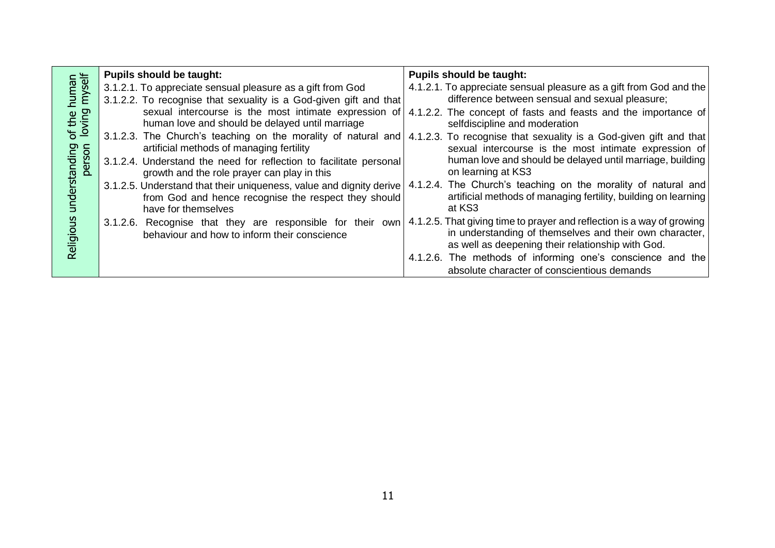|                             | <b>Pupils should be taught:</b>                                                                                                                    | <b>Pupils should be taught:</b>                                                                                                                                                        |
|-----------------------------|----------------------------------------------------------------------------------------------------------------------------------------------------|----------------------------------------------------------------------------------------------------------------------------------------------------------------------------------------|
| human<br>myself<br>of the I | 3.1.2.1. To appreciate sensual pleasure as a gift from God                                                                                         | 4.1.2.1. To appreciate sensual pleasure as a gift from God and the                                                                                                                     |
|                             | 3.1.2.2. To recognise that sexuality is a God-given gift and that                                                                                  | difference between sensual and sexual pleasure;                                                                                                                                        |
|                             | sexual intercourse is the most intimate expression of<br>human love and should be delayed until marriage                                           | 4.1.2.2. The concept of fasts and feasts and the importance of<br>selfdiscipline and moderation                                                                                        |
|                             | 3.1.2.3. The Church's teaching on the morality of natural and<br>artificial methods of managing fertility                                          | 4.1.2.3. To recognise that sexuality is a God-given gift and that<br>sexual intercourse is the most intimate expression of                                                             |
| person                      | 3.1.2.4. Understand the need for reflection to facilitate personal<br>growth and the role prayer can play in this                                  | human love and should be delayed until marriage, building<br>on learning at KS3                                                                                                        |
| nderstanding                | 3.1.2.5. Understand that their uniqueness, value and dignity derive<br>from God and hence recognise the respect they should<br>have for themselves | 4.1.2.4. The Church's teaching on the morality of natural and<br>artificial methods of managing fertility, building on learning<br>at KS3                                              |
| Religiou                    | 3.1.2.6. Recognise that they are responsible for their own<br>behaviour and how to inform their conscience                                         | 4.1.2.5. That giving time to prayer and reflection is a way of growing<br>in understanding of themselves and their own character,<br>as well as deepening their relationship with God. |
|                             |                                                                                                                                                    | 4.1.2.6. The methods of informing one's conscience and the                                                                                                                             |
|                             |                                                                                                                                                    | absolute character of conscientious demands                                                                                                                                            |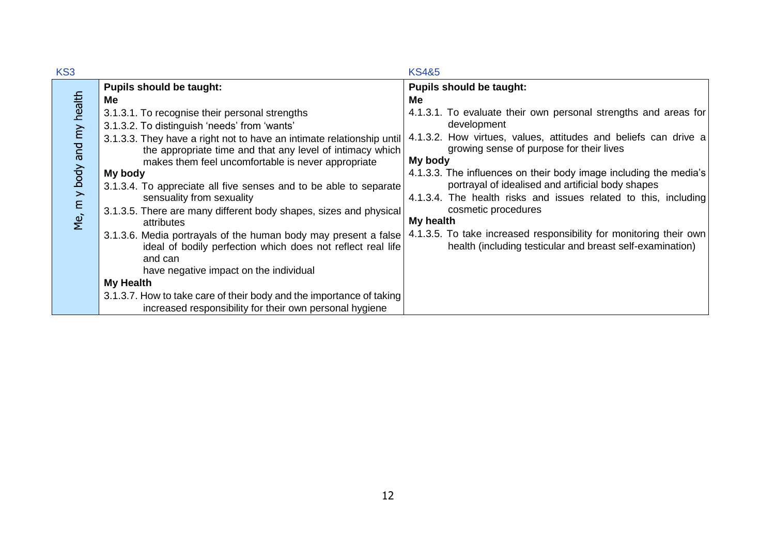| KS3                        |                                                                                                                                                                                                                                                                                                                                                                                                                                                                                                                                                                     | <b>KS4&amp;5</b>                                                                                                                                                                                                                                                                                                                                                                                                                                                                                                      |
|----------------------------|---------------------------------------------------------------------------------------------------------------------------------------------------------------------------------------------------------------------------------------------------------------------------------------------------------------------------------------------------------------------------------------------------------------------------------------------------------------------------------------------------------------------------------------------------------------------|-----------------------------------------------------------------------------------------------------------------------------------------------------------------------------------------------------------------------------------------------------------------------------------------------------------------------------------------------------------------------------------------------------------------------------------------------------------------------------------------------------------------------|
|                            | <b>Pupils should be taught:</b>                                                                                                                                                                                                                                                                                                                                                                                                                                                                                                                                     | <b>Pupils should be taught:</b>                                                                                                                                                                                                                                                                                                                                                                                                                                                                                       |
| Me, m y body and my health | Me<br>3.1.3.1. To recognise their personal strengths<br>3.1.3.2. To distinguish 'needs' from 'wants'<br>3.1.3.3. They have a right not to have an intimate relationship until<br>the appropriate time and that any level of intimacy which<br>makes them feel uncomfortable is never appropriate<br>My body<br>3.1.3.4. To appreciate all five senses and to be able to separate<br>sensuality from sexuality<br>3.1.3.5. There are many different body shapes, sizes and physical<br>attributes<br>3.1.3.6. Media portrayals of the human body may present a false | Me<br>4.1.3.1. To evaluate their own personal strengths and areas for<br>development<br>4.1.3.2. How virtues, values, attitudes and beliefs can drive a<br>growing sense of purpose for their lives<br>My body<br>4.1.3.3. The influences on their body image including the media's<br>portrayal of idealised and artificial body shapes<br>4.1.3.4. The health risks and issues related to this, including<br>cosmetic procedures<br>My health<br>4.1.3.5. To take increased responsibility for monitoring their own |
|                            | ideal of bodily perfection which does not reflect real life<br>and can<br>have negative impact on the individual                                                                                                                                                                                                                                                                                                                                                                                                                                                    | health (including testicular and breast self-examination)                                                                                                                                                                                                                                                                                                                                                                                                                                                             |
|                            | <b>My Health</b>                                                                                                                                                                                                                                                                                                                                                                                                                                                                                                                                                    |                                                                                                                                                                                                                                                                                                                                                                                                                                                                                                                       |
|                            | 3.1.3.7. How to take care of their body and the importance of taking                                                                                                                                                                                                                                                                                                                                                                                                                                                                                                |                                                                                                                                                                                                                                                                                                                                                                                                                                                                                                                       |
|                            | increased responsibility for their own personal hygiene                                                                                                                                                                                                                                                                                                                                                                                                                                                                                                             |                                                                                                                                                                                                                                                                                                                                                                                                                                                                                                                       |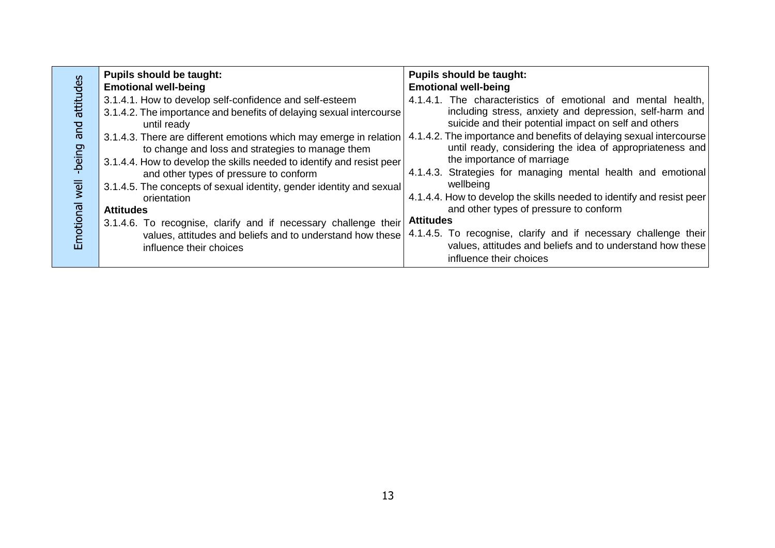|                                          | <b>Pupils should be taught:</b>                                                                                                                                                                                                                                                                                                                                                                                                                                                                       | <b>Pupils should be taught:</b>                                                                                                                                                                                                                                                                                                                                                                                                                                                                                                                   |
|------------------------------------------|-------------------------------------------------------------------------------------------------------------------------------------------------------------------------------------------------------------------------------------------------------------------------------------------------------------------------------------------------------------------------------------------------------------------------------------------------------------------------------------------------------|---------------------------------------------------------------------------------------------------------------------------------------------------------------------------------------------------------------------------------------------------------------------------------------------------------------------------------------------------------------------------------------------------------------------------------------------------------------------------------------------------------------------------------------------------|
|                                          | <b>Emotional well-being</b>                                                                                                                                                                                                                                                                                                                                                                                                                                                                           | <b>Emotional well-being</b>                                                                                                                                                                                                                                                                                                                                                                                                                                                                                                                       |
| attitudes<br><b>Due</b><br>being<br>well | 3.1.4.1. How to develop self-confidence and self-esteem<br>3.1.4.2. The importance and benefits of delaying sexual intercourse<br>until ready<br>3.1.4.3. There are different emotions which may emerge in relation<br>to change and loss and strategies to manage them<br>3.1.4.4. How to develop the skills needed to identify and resist peer<br>and other types of pressure to conform<br>3.1.4.5. The concepts of sexual identity, gender identity and sexual<br>orientation<br><b>Attitudes</b> | 4.1.4.1. The characteristics of emotional and mental health,<br>including stress, anxiety and depression, self-harm and<br>suicide and their potential impact on self and others<br>4.1.4.2. The importance and benefits of delaying sexual intercourse<br>until ready, considering the idea of appropriateness and<br>the importance of marriage<br>4.1.4.3. Strategies for managing mental health and emotional<br>wellbeing<br>4.1.4.4. How to develop the skills needed to identify and resist peer<br>and other types of pressure to conform |
|                                          |                                                                                                                                                                                                                                                                                                                                                                                                                                                                                                       |                                                                                                                                                                                                                                                                                                                                                                                                                                                                                                                                                   |
| Emotional                                | 3.1.4.6. To recognise, clarify and if necessary challenge their<br>values, attitudes and beliefs and to understand how these                                                                                                                                                                                                                                                                                                                                                                          | <b>Attitudes</b><br>4.1.4.5. To recognise, clarify and if necessary challenge their                                                                                                                                                                                                                                                                                                                                                                                                                                                               |
|                                          | influence their choices                                                                                                                                                                                                                                                                                                                                                                                                                                                                               | values, attitudes and beliefs and to understand how these<br>influence their choices                                                                                                                                                                                                                                                                                                                                                                                                                                                              |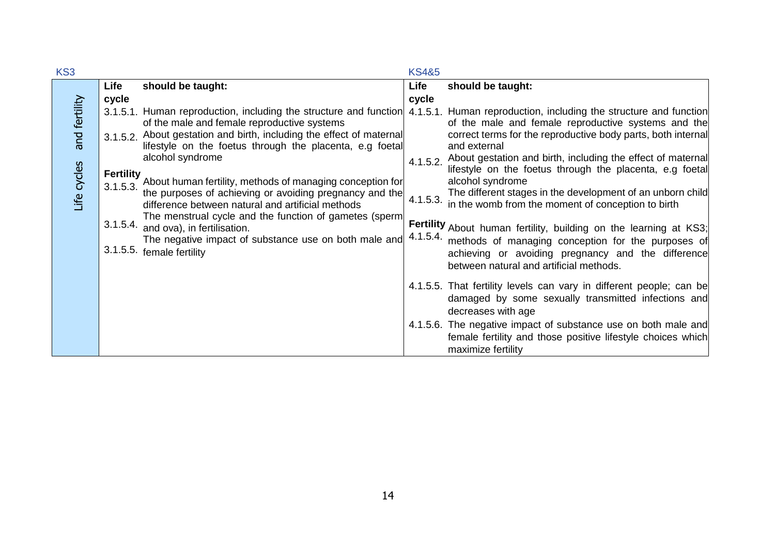| KS3           |                  |                                                                                                                                  | <b>KS4&amp;5</b> |                                                                                                                                                     |
|---------------|------------------|----------------------------------------------------------------------------------------------------------------------------------|------------------|-----------------------------------------------------------------------------------------------------------------------------------------------------|
|               | Life             | should be taught:                                                                                                                | Life             | should be taught:                                                                                                                                   |
|               | cycle            |                                                                                                                                  | cycle            |                                                                                                                                                     |
| and fertility |                  | 3.1.5.1. Human reproduction, including the structure and function 4.1.5.1.<br>of the male and female reproductive systems        |                  | Human reproduction, including the structure and function<br>of the male and female reproductive systems and the                                     |
|               |                  | 3.1.5.2. About gestation and birth, including the effect of maternal<br>lifestyle on the foetus through the placenta, e.g foetal |                  | correct terms for the reproductive body parts, both internal<br>and external                                                                        |
|               | <b>Fertility</b> | alcohol syndrome                                                                                                                 | 4.1.5.2.         | About gestation and birth, including the effect of maternal<br>lifestyle on the foetus through the placenta, e.g foetal                             |
| Life cycles   | 3.1.5.3.         | About human fertility, methods of managing conception for<br>the purposes of achieving or avoiding pregnancy and the             |                  | alcohol syndrome<br>The different stages in the development of an unborn child                                                                      |
|               |                  | difference between natural and artificial methods<br>The menstrual cycle and the function of gametes (sperm                      | 4.1.5.3.         | in the womb from the moment of conception to birth                                                                                                  |
|               |                  | 3.1.5.4. and ova), in fertilisation.<br>The negative impact of substance use on both male and                                    | 4.1.5.4.         | Fertility About human fertility, building on the learning at KS3;                                                                                   |
|               |                  | 3.1.5.5. female fertility                                                                                                        |                  | methods of managing conception for the purposes of<br>achieving or avoiding pregnancy and the difference<br>between natural and artificial methods. |
|               |                  |                                                                                                                                  |                  | 4.1.5.5. That fertility levels can vary in different people; can be<br>damaged by some sexually transmitted infections and<br>decreases with age    |
|               |                  |                                                                                                                                  |                  | 4.1.5.6. The negative impact of substance use on both male and<br>female fertility and those positive lifestyle choices which<br>maximize fertility |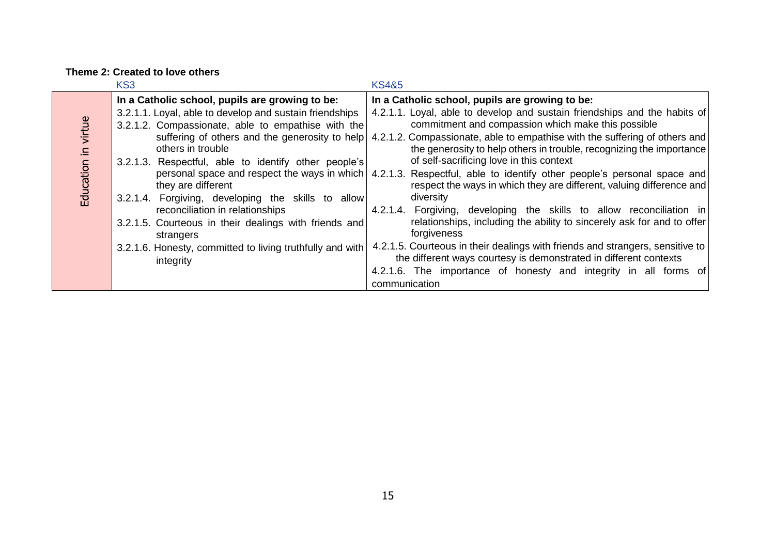#### **Theme 2: Created to love others**

|                                 | KS <sub>3</sub>                                                                                                                                                                                                                                                                                                                                                                                                                                                                                                                                                | <b>KS4&amp;5</b>                                                                                                                                                                                                                                                                                                                                                                                                                                                                                                                                                                                                                                                                                                                                                                                                                                                                                                                                                                                                |
|---------------------------------|----------------------------------------------------------------------------------------------------------------------------------------------------------------------------------------------------------------------------------------------------------------------------------------------------------------------------------------------------------------------------------------------------------------------------------------------------------------------------------------------------------------------------------------------------------------|-----------------------------------------------------------------------------------------------------------------------------------------------------------------------------------------------------------------------------------------------------------------------------------------------------------------------------------------------------------------------------------------------------------------------------------------------------------------------------------------------------------------------------------------------------------------------------------------------------------------------------------------------------------------------------------------------------------------------------------------------------------------------------------------------------------------------------------------------------------------------------------------------------------------------------------------------------------------------------------------------------------------|
| virtue<br>$\equiv$<br>Education | In a Catholic school, pupils are growing to be:<br>3.2.1.1. Loyal, able to develop and sustain friendships<br>3.2.1.2. Compassionate, able to empathise with the<br>suffering of others and the generosity to help<br>others in trouble<br>3.2.1.3. Respectful, able to identify other people's<br>they are different<br>3.2.1.4. Forgiving, developing the skills to allow<br>reconciliation in relationships<br>3.2.1.5. Courteous in their dealings with friends and<br>strangers<br>3.2.1.6. Honesty, committed to living truthfully and with<br>integrity | In a Catholic school, pupils are growing to be:<br>4.2.1.1. Loyal, able to develop and sustain friendships and the habits of<br>commitment and compassion which make this possible<br>4.2.1.2. Compassionate, able to empathise with the suffering of others and<br>the generosity to help others in trouble, recognizing the importance<br>of self-sacrificing love in this context<br>personal space and respect the ways in which   4.2.1.3. Respectful, able to identify other people's personal space and<br>respect the ways in which they are different, valuing difference and<br>diversity<br>4.2.1.4. Forgiving, developing the skills to allow reconciliation in<br>relationships, including the ability to sincerely ask for and to offer<br>forgiveness<br>4.2.1.5. Courteous in their dealings with friends and strangers, sensitive to<br>the different ways courtesy is demonstrated in different contexts<br>4.2.1.6. The importance of honesty and integrity in all forms of<br>communication |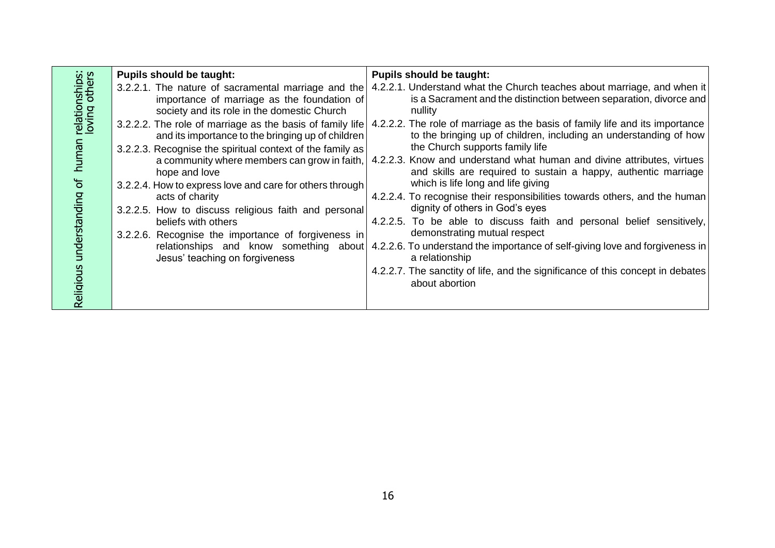|                    | <b>Pupils should be taught:</b>                                                                                                                                             | <b>Pupils should be taught:</b>                                                                                                                                                      |
|--------------------|-----------------------------------------------------------------------------------------------------------------------------------------------------------------------------|--------------------------------------------------------------------------------------------------------------------------------------------------------------------------------------|
| nships:<br>others  | 3.2.2.1. The nature of sacramental marriage and the<br>importance of marriage as the foundation of<br>society and its role in the domestic Church                           | 4.2.2.1. Understand what the Church teaches about marriage, and when it<br>is a Sacrament and the distinction between separation, divorce and<br>nullity                             |
| relation<br>loving | 3.2.2.2. The role of marriage as the basis of family life<br>and its importance to the bringing up of children<br>3.2.2.3. Recognise the spiritual context of the family as | 4.2.2.2. The role of marriage as the basis of family life and its importance<br>to the bringing up of children, including an understanding of how<br>the Church supports family life |
| human<br>$\sigma$  | a community where members can grow in faith,<br>hope and love<br>3.2.2.4. How to express love and care for others through                                                   | 4.2.2.3. Know and understand what human and divine attributes, virtues<br>and skills are required to sustain a happy, authentic marriage<br>which is life long and life giving       |
| understanding      | acts of charity<br>3.2.2.5. How to discuss religious faith and personal                                                                                                     | 4.2.2.4. To recognise their responsibilities towards others, and the human<br>dignity of others in God's eyes                                                                        |
|                    | beliefs with others<br>3.2.2.6. Recognise the importance of forgiveness in                                                                                                  | 4.2.2.5. To be able to discuss faith and personal belief sensitively,<br>demonstrating mutual respect                                                                                |
|                    | relationships and know something about<br>Jesus' teaching on forgiveness                                                                                                    | 4.2.2.6. To understand the importance of self-giving love and forgiveness in<br>a relationship                                                                                       |
| Religious          |                                                                                                                                                                             | 4.2.2.7. The sanctity of life, and the significance of this concept in debates<br>about abortion                                                                                     |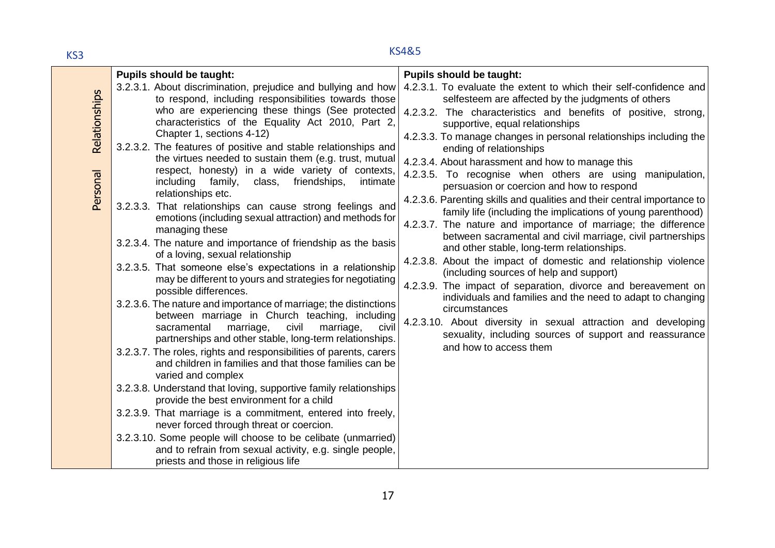## KS4&5 KS3

|                           | <b>Pupils should be taught:</b>                                                                                                                                                                                                                                                                                                                                                                                                                                                                                                                                                                                                                                                                                                                                                                                                                                                                                                                                                                                                                                                                                                                                                                                        | <b>Pupils should be taught:</b>                                                                                                                                                                                                                                                                                                                                                                                                                                                                                                                                                                                                                                                                                                           |
|---------------------------|------------------------------------------------------------------------------------------------------------------------------------------------------------------------------------------------------------------------------------------------------------------------------------------------------------------------------------------------------------------------------------------------------------------------------------------------------------------------------------------------------------------------------------------------------------------------------------------------------------------------------------------------------------------------------------------------------------------------------------------------------------------------------------------------------------------------------------------------------------------------------------------------------------------------------------------------------------------------------------------------------------------------------------------------------------------------------------------------------------------------------------------------------------------------------------------------------------------------|-------------------------------------------------------------------------------------------------------------------------------------------------------------------------------------------------------------------------------------------------------------------------------------------------------------------------------------------------------------------------------------------------------------------------------------------------------------------------------------------------------------------------------------------------------------------------------------------------------------------------------------------------------------------------------------------------------------------------------------------|
|                           | 3.2.3.1. About discrimination, prejudice and bullying and how<br>to respond, including responsibilities towards those<br>who are experiencing these things (See protected                                                                                                                                                                                                                                                                                                                                                                                                                                                                                                                                                                                                                                                                                                                                                                                                                                                                                                                                                                                                                                              | 4.2.3.1. To evaluate the extent to which their self-confidence and<br>selfesteem are affected by the judgments of others                                                                                                                                                                                                                                                                                                                                                                                                                                                                                                                                                                                                                  |
| Relationships<br>Personal | characteristics of the Equality Act 2010, Part 2,<br>Chapter 1, sections 4-12)<br>3.2.3.2. The features of positive and stable relationships and<br>the virtues needed to sustain them (e.g. trust, mutual<br>respect, honesty) in a wide variety of contexts,<br>family,<br>friendships,<br>intimate<br>including<br>class,                                                                                                                                                                                                                                                                                                                                                                                                                                                                                                                                                                                                                                                                                                                                                                                                                                                                                           | 4.2.3.2. The characteristics and benefits of positive, strong,<br>supportive, equal relationships<br>4.2.3.3. To manage changes in personal relationships including the<br>ending of relationships<br>4.2.3.4. About harassment and how to manage this<br>4.2.3.5. To recognise when others are using manipulation,<br>persuasion or coercion and how to respond                                                                                                                                                                                                                                                                                                                                                                          |
|                           | relationships etc.<br>3.2.3.3. That relationships can cause strong feelings and<br>emotions (including sexual attraction) and methods for<br>managing these<br>3.2.3.4. The nature and importance of friendship as the basis<br>of a loving, sexual relationship<br>3.2.3.5. That someone else's expectations in a relationship<br>may be different to yours and strategies for negotiating<br>possible differences.<br>3.2.3.6. The nature and importance of marriage; the distinctions<br>between marriage in Church teaching, including<br>civil<br>civil<br>marriage,<br>sacramental<br>marriage,<br>partnerships and other stable, long-term relationships.<br>3.2.3.7. The roles, rights and responsibilities of parents, carers<br>and children in families and that those families can be<br>varied and complex<br>3.2.3.8. Understand that loving, supportive family relationships<br>provide the best environment for a child<br>3.2.3.9. That marriage is a commitment, entered into freely,<br>never forced through threat or coercion.<br>3.2.3.10. Some people will choose to be celibate (unmarried)<br>and to refrain from sexual activity, e.g. single people,<br>priests and those in religious life | 4.2.3.6. Parenting skills and qualities and their central importance to<br>family life (including the implications of young parenthood)<br>4.2.3.7. The nature and importance of marriage; the difference<br>between sacramental and civil marriage, civil partnerships<br>and other stable, long-term relationships.<br>4.2.3.8. About the impact of domestic and relationship violence<br>(including sources of help and support)<br>4.2.3.9. The impact of separation, divorce and bereavement on<br>individuals and families and the need to adapt to changing<br>circumstances<br>4.2.3.10. About diversity in sexual attraction and developing<br>sexuality, including sources of support and reassurance<br>and how to access them |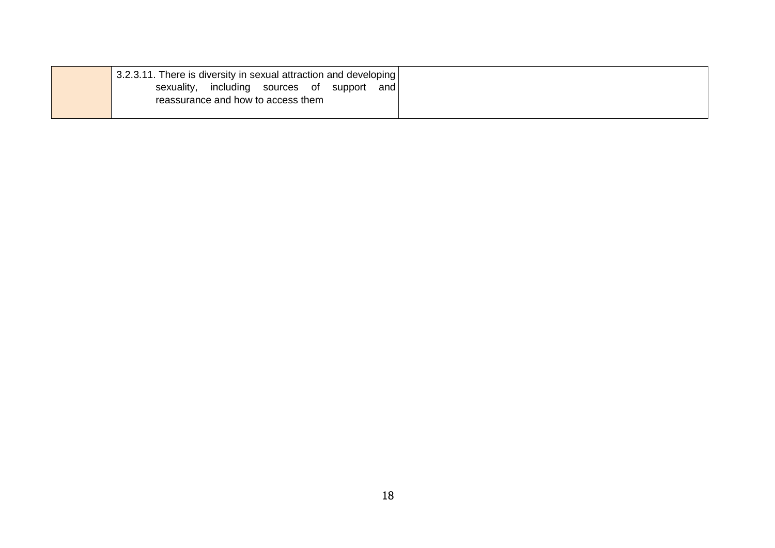| 3.2.3.11. There is diversity in sexual attraction and developing |  |
|------------------------------------------------------------------|--|
| including sources of support<br>sexuality,<br>and l              |  |
| reassurance and how to access them                               |  |
|                                                                  |  |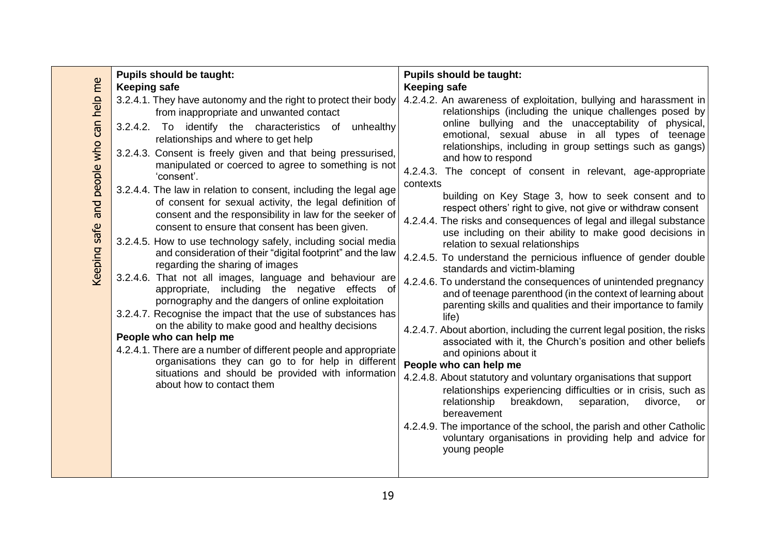|                                            | <b>Pupils should be taught:</b>                                                                                                                                                                                                                                                                                                                                                                                                                                                                                                                                                                                                                                                                                                                                                                                                                                                                                                                                                                                                                                                                                                                                                                                                                                                                                     | <b>Pupils should be taught:</b>                                                                                                                                                                                                                                                                                                                                                                                                                                                                                                                                                                                                                                                                                                                                                                                                                                                                                                                                                                                                                                                                                                                                                                                                                                                                                                                                                                                                                                                                                                                                                                                 |
|--------------------------------------------|---------------------------------------------------------------------------------------------------------------------------------------------------------------------------------------------------------------------------------------------------------------------------------------------------------------------------------------------------------------------------------------------------------------------------------------------------------------------------------------------------------------------------------------------------------------------------------------------------------------------------------------------------------------------------------------------------------------------------------------------------------------------------------------------------------------------------------------------------------------------------------------------------------------------------------------------------------------------------------------------------------------------------------------------------------------------------------------------------------------------------------------------------------------------------------------------------------------------------------------------------------------------------------------------------------------------|-----------------------------------------------------------------------------------------------------------------------------------------------------------------------------------------------------------------------------------------------------------------------------------------------------------------------------------------------------------------------------------------------------------------------------------------------------------------------------------------------------------------------------------------------------------------------------------------------------------------------------------------------------------------------------------------------------------------------------------------------------------------------------------------------------------------------------------------------------------------------------------------------------------------------------------------------------------------------------------------------------------------------------------------------------------------------------------------------------------------------------------------------------------------------------------------------------------------------------------------------------------------------------------------------------------------------------------------------------------------------------------------------------------------------------------------------------------------------------------------------------------------------------------------------------------------------------------------------------------------|
| and people who can help me<br>Keeping safe | <b>Keeping safe</b><br>3.2.4.1. They have autonomy and the right to protect their body<br>from inappropriate and unwanted contact<br>3.2.4.2. To identify the characteristics of unhealthy<br>relationships and where to get help<br>3.2.4.3. Consent is freely given and that being pressurised,<br>manipulated or coerced to agree to something is not<br>'consent'.<br>3.2.4.4. The law in relation to consent, including the legal age<br>of consent for sexual activity, the legal definition of<br>consent and the responsibility in law for the seeker of<br>consent to ensure that consent has been given.<br>3.2.4.5. How to use technology safely, including social media<br>and consideration of their "digital footprint" and the law<br>regarding the sharing of images<br>3.2.4.6. That not all images, language and behaviour are<br>appropriate, including the negative effects of<br>pornography and the dangers of online exploitation<br>3.2.4.7. Recognise the impact that the use of substances has<br>on the ability to make good and healthy decisions<br>People who can help me<br>4.2.4.1. There are a number of different people and appropriate<br>organisations they can go to for help in different<br>situations and should be provided with information<br>about how to contact them | <b>Keeping safe</b><br>4.2.4.2. An awareness of exploitation, bullying and harassment in<br>relationships (including the unique challenges posed by<br>online bullying and the unacceptability of physical,<br>emotional, sexual abuse in all types of teenage<br>relationships, including in group settings such as gangs)<br>and how to respond<br>4.2.4.3. The concept of consent in relevant, age-appropriate<br>contexts<br>building on Key Stage 3, how to seek consent and to<br>respect others' right to give, not give or withdraw consent<br>4.2.4.4. The risks and consequences of legal and illegal substance<br>use including on their ability to make good decisions in<br>relation to sexual relationships<br>4.2.4.5. To understand the pernicious influence of gender double<br>standards and victim-blaming<br>4.2.4.6. To understand the consequences of unintended pregnancy<br>and of teenage parenthood (in the context of learning about<br>parenting skills and qualities and their importance to family<br>life)<br>4.2.4.7. About abortion, including the current legal position, the risks<br>associated with it, the Church's position and other beliefs<br>and opinions about it<br>People who can help me<br>4.2.4.8. About statutory and voluntary organisations that support<br>relationships experiencing difficulties or in crisis, such as<br>breakdown,<br>relationship<br>separation,<br>divorce,<br>or<br>bereavement<br>4.2.4.9. The importance of the school, the parish and other Catholic<br>voluntary organisations in providing help and advice for<br>young people |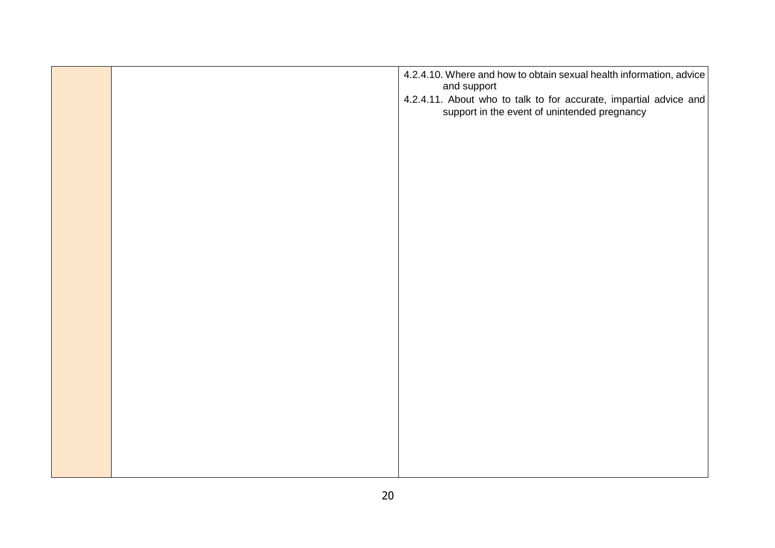|  | 4.2.4.10. Where and how to obtain sexual health information, advice<br>and support                                |
|--|-------------------------------------------------------------------------------------------------------------------|
|  | 4.2.4.11. About who to talk to for accurate, impartial advice and<br>support in the event of unintended pregnancy |
|  |                                                                                                                   |
|  |                                                                                                                   |
|  |                                                                                                                   |
|  |                                                                                                                   |
|  |                                                                                                                   |
|  |                                                                                                                   |
|  |                                                                                                                   |
|  |                                                                                                                   |
|  |                                                                                                                   |
|  |                                                                                                                   |
|  |                                                                                                                   |
|  |                                                                                                                   |
|  |                                                                                                                   |
|  |                                                                                                                   |
|  |                                                                                                                   |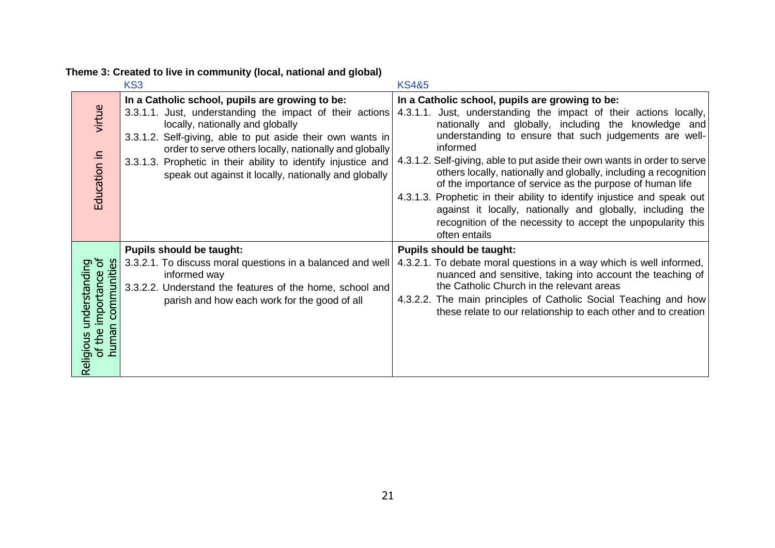|                                                                                        | KS3                                                                                                                                                                                                                                                                                                                                                                                               | <b>KS4&amp;5</b>                                                                                                                                                                                                                                                                                                                                                                                                                                                                                                                                                                                                                                                                           |
|----------------------------------------------------------------------------------------|---------------------------------------------------------------------------------------------------------------------------------------------------------------------------------------------------------------------------------------------------------------------------------------------------------------------------------------------------------------------------------------------------|--------------------------------------------------------------------------------------------------------------------------------------------------------------------------------------------------------------------------------------------------------------------------------------------------------------------------------------------------------------------------------------------------------------------------------------------------------------------------------------------------------------------------------------------------------------------------------------------------------------------------------------------------------------------------------------------|
| virtue<br>Education in                                                                 | In a Catholic school, pupils are growing to be:<br>3.3.1.1. Just, understanding the impact of their actions<br>locally, nationally and globally<br>3.3.1.2. Self-giving, able to put aside their own wants in<br>order to serve others locally, nationally and globally<br>3.3.1.3. Prophetic in their ability to identify injustice and<br>speak out against it locally, nationally and globally | In a Catholic school, pupils are growing to be:<br>4.3.1.1. Just, understanding the impact of their actions locally,<br>nationally and globally, including the knowledge and<br>understanding to ensure that such judgements are well-<br>informed<br>4.3.1.2. Self-giving, able to put aside their own wants in order to serve<br>others locally, nationally and globally, including a recognition<br>of the importance of service as the purpose of human life<br>4.3.1.3. Prophetic in their ability to identify injustice and speak out<br>against it locally, nationally and globally, including the<br>recognition of the necessity to accept the unpopularity this<br>often entails |
| $\sigma$<br>communities<br>understanding<br>importance<br>human<br>of the<br>Religious | <b>Pupils should be taught:</b><br>3.3.2.1. To discuss moral questions in a balanced and well<br>informed way<br>3.3.2.2. Understand the features of the home, school and<br>parish and how each work for the good of all                                                                                                                                                                         | <b>Pupils should be taught:</b><br>4.3.2.1. To debate moral questions in a way which is well informed,<br>nuanced and sensitive, taking into account the teaching of<br>the Catholic Church in the relevant areas<br>4.3.2.2. The main principles of Catholic Social Teaching and how<br>these relate to our relationship to each other and to creation                                                                                                                                                                                                                                                                                                                                    |

**Theme 3: Created to live in community (local, national and global)**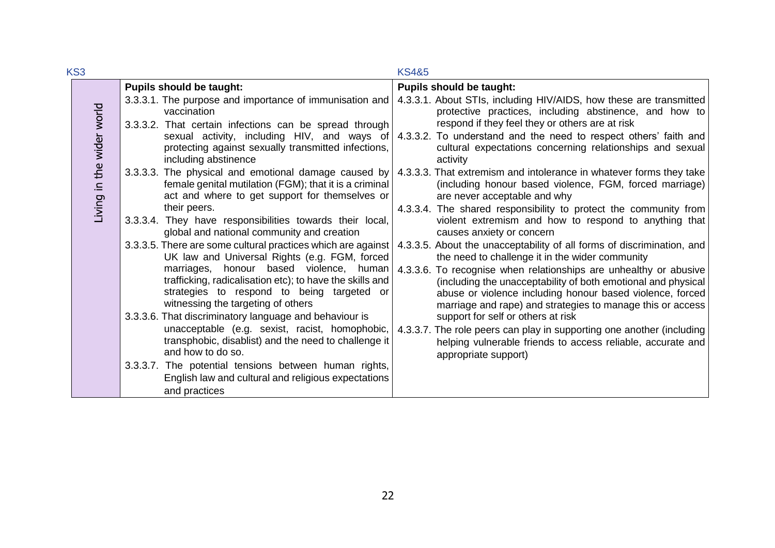| KS3                       |                                                                                                                                                                                                                                                                                                          | <b>KS4&amp;5</b>                                                                                                                                                                                                                                                                                                                                                                           |
|---------------------------|----------------------------------------------------------------------------------------------------------------------------------------------------------------------------------------------------------------------------------------------------------------------------------------------------------|--------------------------------------------------------------------------------------------------------------------------------------------------------------------------------------------------------------------------------------------------------------------------------------------------------------------------------------------------------------------------------------------|
|                           | <b>Pupils should be taught:</b>                                                                                                                                                                                                                                                                          | <b>Pupils should be taught:</b>                                                                                                                                                                                                                                                                                                                                                            |
|                           | 3.3.3.1. The purpose and importance of immunisation and<br>vaccination<br>3.3.3.2. That certain infections can be spread through                                                                                                                                                                         | 4.3.3.1. About STIs, including HIV/AIDS, how these are transmitted<br>protective practices, including abstinence, and how to<br>respond if they feel they or others are at risk                                                                                                                                                                                                            |
|                           | sexual activity, including HIV, and ways of<br>protecting against sexually transmitted infections,<br>including abstinence                                                                                                                                                                               | 4.3.3.2. To understand and the need to respect others' faith and<br>cultural expectations concerning relationships and sexual<br>activity                                                                                                                                                                                                                                                  |
| Living in the wider world | 3.3.3.3. The physical and emotional damage caused by<br>female genital mutilation (FGM); that it is a criminal<br>act and where to get support for themselves or                                                                                                                                         | 4.3.3.3. That extremism and intolerance in whatever forms they take<br>(including honour based violence, FGM, forced marriage)<br>are never acceptable and why                                                                                                                                                                                                                             |
|                           | their peers.<br>3.3.3.4. They have responsibilities towards their local,<br>global and national community and creation                                                                                                                                                                                   | 4.3.3.4. The shared responsibility to protect the community from<br>violent extremism and how to respond to anything that<br>causes anxiety or concern                                                                                                                                                                                                                                     |
|                           | 3.3.3.5. There are some cultural practices which are against<br>UK law and Universal Rights (e.g. FGM, forced<br>marriages, honour based violence, human<br>trafficking, radicalisation etc); to have the skills and<br>strategies to respond to being targeted or<br>witnessing the targeting of others | 4.3.3.5. About the unacceptability of all forms of discrimination, and<br>the need to challenge it in the wider community<br>4.3.3.6. To recognise when relationships are unhealthy or abusive<br>(including the unacceptability of both emotional and physical<br>abuse or violence including honour based violence, forced<br>marriage and rape) and strategies to manage this or access |
|                           | 3.3.3.6. That discriminatory language and behaviour is<br>unacceptable (e.g. sexist, racist, homophobic,<br>transphobic, disablist) and the need to challenge it<br>and how to do so.                                                                                                                    | support for self or others at risk<br>4.3.3.7. The role peers can play in supporting one another (including<br>helping vulnerable friends to access reliable, accurate and<br>appropriate support)                                                                                                                                                                                         |
|                           | 3.3.3.7. The potential tensions between human rights,<br>English law and cultural and religious expectations<br>and practices                                                                                                                                                                            |                                                                                                                                                                                                                                                                                                                                                                                            |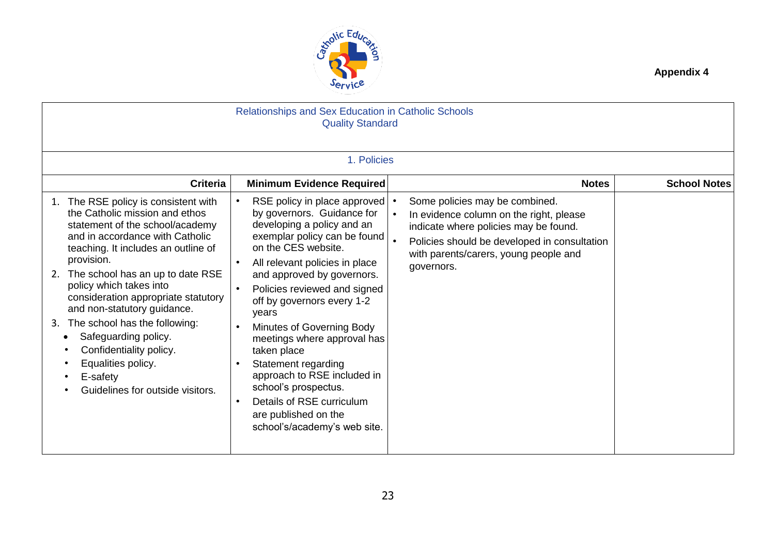

|    | Relationships and Sex Education in Catholic Schools<br><b>Quality Standard</b>                                                                                                                                                                                                                                                                                                                                                                                                                   |                                                                                                                                                                                                                                                                                                                                                                                                                                                                                                                                                                                          |  |                                                                                                                                                                                                                           |                     |  |  |  |
|----|--------------------------------------------------------------------------------------------------------------------------------------------------------------------------------------------------------------------------------------------------------------------------------------------------------------------------------------------------------------------------------------------------------------------------------------------------------------------------------------------------|------------------------------------------------------------------------------------------------------------------------------------------------------------------------------------------------------------------------------------------------------------------------------------------------------------------------------------------------------------------------------------------------------------------------------------------------------------------------------------------------------------------------------------------------------------------------------------------|--|---------------------------------------------------------------------------------------------------------------------------------------------------------------------------------------------------------------------------|---------------------|--|--|--|
|    | 1. Policies                                                                                                                                                                                                                                                                                                                                                                                                                                                                                      |                                                                                                                                                                                                                                                                                                                                                                                                                                                                                                                                                                                          |  |                                                                                                                                                                                                                           |                     |  |  |  |
|    | <b>Criteria</b>                                                                                                                                                                                                                                                                                                                                                                                                                                                                                  | <b>Minimum Evidence Required</b>                                                                                                                                                                                                                                                                                                                                                                                                                                                                                                                                                         |  | <b>Notes</b>                                                                                                                                                                                                              | <b>School Notes</b> |  |  |  |
| 2. | The RSE policy is consistent with<br>the Catholic mission and ethos<br>statement of the school/academy<br>and in accordance with Catholic<br>teaching. It includes an outline of<br>provision.<br>The school has an up to date RSE<br>policy which takes into<br>consideration appropriate statutory<br>and non-statutory guidance.<br>3. The school has the following:<br>Safeguarding policy.<br>Confidentiality policy.<br>Equalities policy.<br>E-safety<br>Guidelines for outside visitors. | RSE policy in place approved<br>$\bullet$<br>by governors. Guidance for<br>developing a policy and an<br>exemplar policy can be found<br>on the CES website.<br>All relevant policies in place<br>$\bullet$<br>and approved by governors.<br>Policies reviewed and signed<br>$\bullet$<br>off by governors every 1-2<br>years<br>Minutes of Governing Body<br>meetings where approval has<br>taken place<br>Statement regarding<br>approach to RSE included in<br>school's prospectus.<br>Details of RSE curriculum<br>$\bullet$<br>are published on the<br>school's/academy's web site. |  | Some policies may be combined.<br>In evidence column on the right, please<br>indicate where policies may be found.<br>Policies should be developed in consultation<br>with parents/carers, young people and<br>governors. |                     |  |  |  |

**Appendix 4**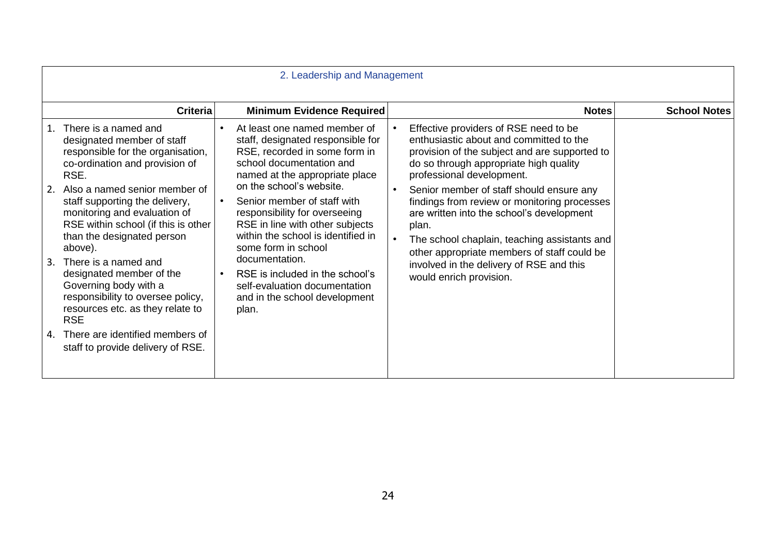| 2. Leadership and Management                                                                                                                                                                                                                                                                                                                                                                                                                                                                 |                 |                                                                                                                                                                                                                                                                                                                                                                                                                                                                                                           |                                                                                                                                                                                                                                                                                                                                                                                                                                                                                                                                  |                     |  |
|----------------------------------------------------------------------------------------------------------------------------------------------------------------------------------------------------------------------------------------------------------------------------------------------------------------------------------------------------------------------------------------------------------------------------------------------------------------------------------------------|-----------------|-----------------------------------------------------------------------------------------------------------------------------------------------------------------------------------------------------------------------------------------------------------------------------------------------------------------------------------------------------------------------------------------------------------------------------------------------------------------------------------------------------------|----------------------------------------------------------------------------------------------------------------------------------------------------------------------------------------------------------------------------------------------------------------------------------------------------------------------------------------------------------------------------------------------------------------------------------------------------------------------------------------------------------------------------------|---------------------|--|
|                                                                                                                                                                                                                                                                                                                                                                                                                                                                                              | <b>Criteria</b> | <b>Minimum Evidence Required</b>                                                                                                                                                                                                                                                                                                                                                                                                                                                                          | <b>Notes</b>                                                                                                                                                                                                                                                                                                                                                                                                                                                                                                                     | <b>School Notes</b> |  |
| There is a named and<br>1.<br>designated member of staff<br>responsible for the organisation,<br>co-ordination and provision of<br>RSE.<br>Also a named senior member of<br>2.<br>staff supporting the delivery,<br>monitoring and evaluation of<br>RSE within school (if this is other<br>than the designated person<br>above).<br>There is a named and<br>3.<br>designated member of the<br>Governing body with a<br>responsibility to oversee policy,<br>resources etc. as they relate to |                 | At least one named member of<br>staff, designated responsible for<br>RSE, recorded in some form in<br>school documentation and<br>named at the appropriate place<br>on the school's website.<br>Senior member of staff with<br>$\bullet$<br>responsibility for overseeing<br>RSE in line with other subjects<br>within the school is identified in<br>some form in school<br>documentation.<br>RSE is included in the school's<br>self-evaluation documentation<br>and in the school development<br>plan. | Effective providers of RSE need to be<br>enthusiastic about and committed to the<br>provision of the subject and are supported to<br>do so through appropriate high quality<br>professional development.<br>Senior member of staff should ensure any<br>findings from review or monitoring processes<br>are written into the school's development<br>plan.<br>The school chaplain, teaching assistants and<br>other appropriate members of staff could be<br>involved in the delivery of RSE and this<br>would enrich provision. |                     |  |
| <b>RSE</b><br>There are identified members of<br>4.<br>staff to provide delivery of RSE.                                                                                                                                                                                                                                                                                                                                                                                                     |                 |                                                                                                                                                                                                                                                                                                                                                                                                                                                                                                           |                                                                                                                                                                                                                                                                                                                                                                                                                                                                                                                                  |                     |  |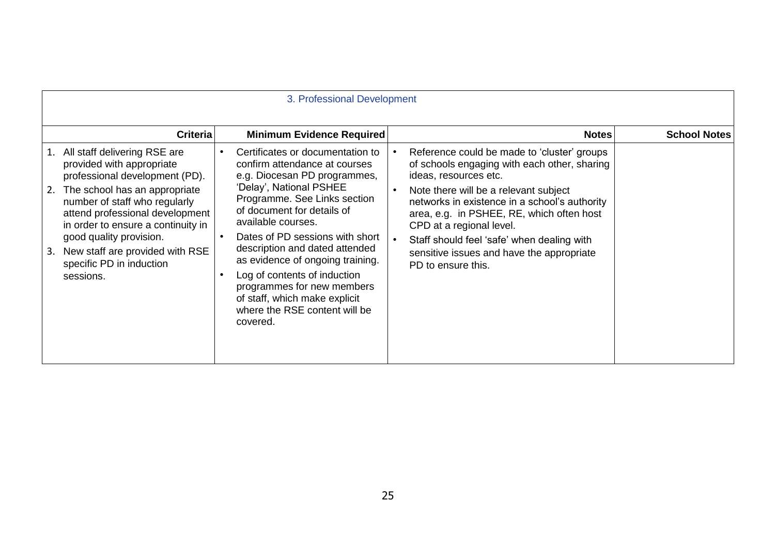| 3. Professional Development                                                                                                                                                   |                                                                                                                                                                             |           |                                                                                                                                                                                                                                                                                                                                                                                                                                                                       |           |                                                                                                                                                                                                                                                                                                                                                                                                          |                     |
|-------------------------------------------------------------------------------------------------------------------------------------------------------------------------------|-----------------------------------------------------------------------------------------------------------------------------------------------------------------------------|-----------|-----------------------------------------------------------------------------------------------------------------------------------------------------------------------------------------------------------------------------------------------------------------------------------------------------------------------------------------------------------------------------------------------------------------------------------------------------------------------|-----------|----------------------------------------------------------------------------------------------------------------------------------------------------------------------------------------------------------------------------------------------------------------------------------------------------------------------------------------------------------------------------------------------------------|---------------------|
|                                                                                                                                                                               | <b>Criteria</b>                                                                                                                                                             |           | <b>Minimum Evidence Required</b>                                                                                                                                                                                                                                                                                                                                                                                                                                      |           | <b>Notes</b>                                                                                                                                                                                                                                                                                                                                                                                             | <b>School Notes</b> |
| 1. All staff delivering RSE are<br>provided with appropriate<br>2.<br>number of staff who regularly<br>good quality provision.<br>3.<br>specific PD in induction<br>sessions. | professional development (PD).<br>The school has an appropriate<br>attend professional development<br>in order to ensure a continuity in<br>New staff are provided with RSE | $\bullet$ | Certificates or documentation to<br>confirm attendance at courses<br>e.g. Diocesan PD programmes,<br>'Delay', National PSHEE<br>Programme. See Links section<br>of document for details of<br>available courses.<br>Dates of PD sessions with short<br>description and dated attended<br>as evidence of ongoing training.<br>Log of contents of induction<br>programmes for new members<br>of staff, which make explicit<br>where the RSE content will be<br>covered. | $\bullet$ | Reference could be made to 'cluster' groups<br>of schools engaging with each other, sharing<br>ideas, resources etc.<br>Note there will be a relevant subject<br>networks in existence in a school's authority<br>area, e.g. in PSHEE, RE, which often host<br>CPD at a regional level.<br>Staff should feel 'safe' when dealing with<br>sensitive issues and have the appropriate<br>PD to ensure this. |                     |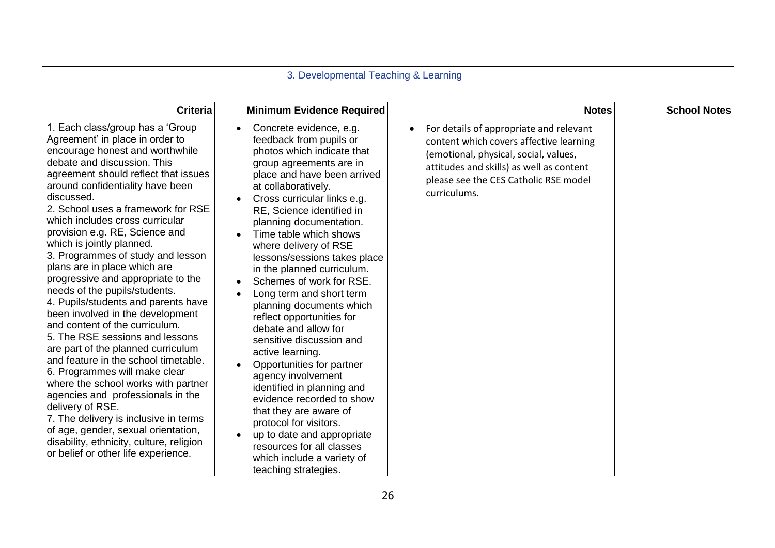| 3. Developmental Teaching & Learning                                                                                                                                                                                                                                                                                                                                                                                                                                                                                                                                                                                                                                                                                                                                                                                                                                                                                                                                                                                                                  |                                                                                                                                                                                                                                                                                                                                                                                                                                                                                                                                                                                                                                                                                                                                                                                                                                                                                 |                                                                                                                                                                                                                                  |                     |  |  |
|-------------------------------------------------------------------------------------------------------------------------------------------------------------------------------------------------------------------------------------------------------------------------------------------------------------------------------------------------------------------------------------------------------------------------------------------------------------------------------------------------------------------------------------------------------------------------------------------------------------------------------------------------------------------------------------------------------------------------------------------------------------------------------------------------------------------------------------------------------------------------------------------------------------------------------------------------------------------------------------------------------------------------------------------------------|---------------------------------------------------------------------------------------------------------------------------------------------------------------------------------------------------------------------------------------------------------------------------------------------------------------------------------------------------------------------------------------------------------------------------------------------------------------------------------------------------------------------------------------------------------------------------------------------------------------------------------------------------------------------------------------------------------------------------------------------------------------------------------------------------------------------------------------------------------------------------------|----------------------------------------------------------------------------------------------------------------------------------------------------------------------------------------------------------------------------------|---------------------|--|--|
| <b>Criteria</b>                                                                                                                                                                                                                                                                                                                                                                                                                                                                                                                                                                                                                                                                                                                                                                                                                                                                                                                                                                                                                                       | <b>Minimum Evidence Required</b>                                                                                                                                                                                                                                                                                                                                                                                                                                                                                                                                                                                                                                                                                                                                                                                                                                                | <b>Notes</b>                                                                                                                                                                                                                     | <b>School Notes</b> |  |  |
| 1. Each class/group has a 'Group<br>Agreement' in place in order to<br>encourage honest and worthwhile<br>debate and discussion. This<br>agreement should reflect that issues<br>around confidentiality have been<br>discussed.<br>2. School uses a framework for RSE<br>which includes cross curricular<br>provision e.g. RE, Science and<br>which is jointly planned.<br>3. Programmes of study and lesson<br>plans are in place which are<br>progressive and appropriate to the<br>needs of the pupils/students.<br>4. Pupils/students and parents have<br>been involved in the development<br>and content of the curriculum.<br>5. The RSE sessions and lessons<br>are part of the planned curriculum<br>and feature in the school timetable.<br>6. Programmes will make clear<br>where the school works with partner<br>agencies and professionals in the<br>delivery of RSE.<br>7. The delivery is inclusive in terms<br>of age, gender, sexual orientation,<br>disability, ethnicity, culture, religion<br>or belief or other life experience. | Concrete evidence, e.g.<br>$\bullet$<br>feedback from pupils or<br>photos which indicate that<br>group agreements are in<br>place and have been arrived<br>at collaboratively.<br>Cross curricular links e.g.<br>$\bullet$<br>RE, Science identified in<br>planning documentation.<br>Time table which shows<br>where delivery of RSE<br>lessons/sessions takes place<br>in the planned curriculum.<br>Schemes of work for RSE.<br>Long term and short term<br>planning documents which<br>reflect opportunities for<br>debate and allow for<br>sensitive discussion and<br>active learning.<br>Opportunities for partner<br>agency involvement<br>identified in planning and<br>evidence recorded to show<br>that they are aware of<br>protocol for visitors.<br>up to date and appropriate<br>resources for all classes<br>which include a variety of<br>teaching strategies. | For details of appropriate and relevant<br>content which covers affective learning<br>(emotional, physical, social, values,<br>attitudes and skills) as well as content<br>please see the CES Catholic RSE model<br>curriculums. |                     |  |  |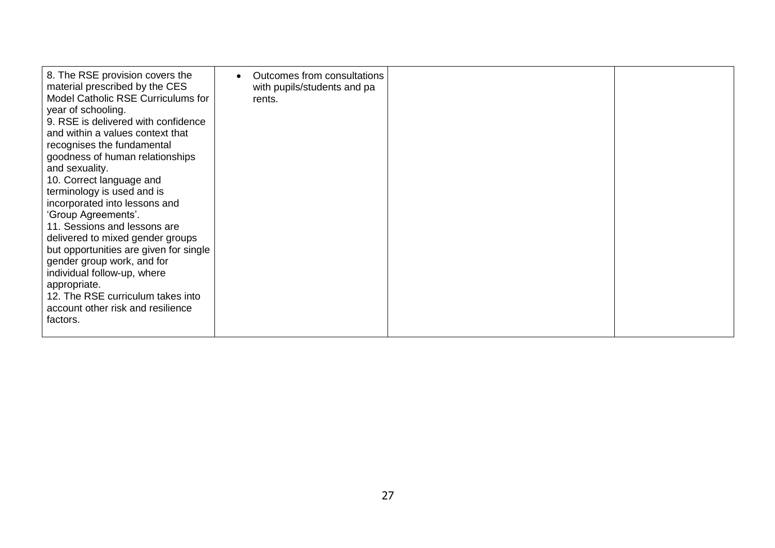| 8. The RSE provision covers the<br>material prescribed by the CES<br>Model Catholic RSE Curriculums for<br>year of schooling.<br>9. RSE is delivered with confidence<br>and within a values context that<br>recognises the fundamental<br>goodness of human relationships<br>and sexuality.<br>10. Correct language and<br>terminology is used and is<br>incorporated into lessons and<br>'Group Agreements'.<br>11. Sessions and lessons are<br>delivered to mixed gender groups<br>but opportunities are given for single<br>gender group work, and for<br>individual follow-up, where<br>appropriate.<br>12. The RSE curriculum takes into<br>account other risk and resilience<br>factors. | Outcomes from consultations<br>with pupils/students and pa<br>rents. |  |  |
|------------------------------------------------------------------------------------------------------------------------------------------------------------------------------------------------------------------------------------------------------------------------------------------------------------------------------------------------------------------------------------------------------------------------------------------------------------------------------------------------------------------------------------------------------------------------------------------------------------------------------------------------------------------------------------------------|----------------------------------------------------------------------|--|--|
|------------------------------------------------------------------------------------------------------------------------------------------------------------------------------------------------------------------------------------------------------------------------------------------------------------------------------------------------------------------------------------------------------------------------------------------------------------------------------------------------------------------------------------------------------------------------------------------------------------------------------------------------------------------------------------------------|----------------------------------------------------------------------|--|--|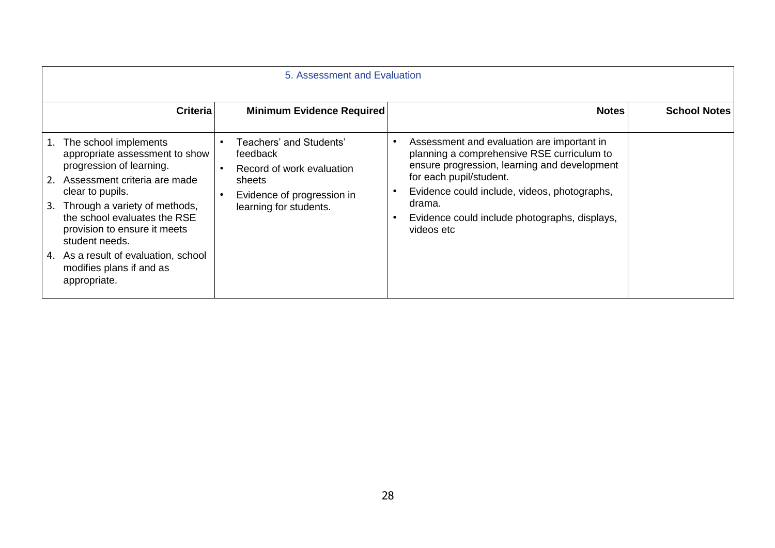| 5. Assessment and Evaluation                                                                                                                                                                                                                                                                                                                                  |                 |                                                                                                                                    |  |                                                                                                                                                                                                                                                                                              |                     |
|---------------------------------------------------------------------------------------------------------------------------------------------------------------------------------------------------------------------------------------------------------------------------------------------------------------------------------------------------------------|-----------------|------------------------------------------------------------------------------------------------------------------------------------|--|----------------------------------------------------------------------------------------------------------------------------------------------------------------------------------------------------------------------------------------------------------------------------------------------|---------------------|
|                                                                                                                                                                                                                                                                                                                                                               | <b>Criteria</b> | <b>Minimum Evidence Required</b>                                                                                                   |  | <b>Notes</b>                                                                                                                                                                                                                                                                                 | <b>School Notes</b> |
| The school implements<br>1.<br>appropriate assessment to show<br>progression of learning.<br>2. Assessment criteria are made<br>clear to pupils.<br>Through a variety of methods,<br>3.<br>the school evaluates the RSE<br>provision to ensure it meets<br>student needs.<br>4. As a result of evaluation, school<br>modifies plans if and as<br>appropriate. |                 | Teachers' and Students'<br>feedback<br>Record of work evaluation<br>sheets<br>Evidence of progression in<br>learning for students. |  | Assessment and evaluation are important in<br>planning a comprehensive RSE curriculum to<br>ensure progression, learning and development<br>for each pupil/student.<br>Evidence could include, videos, photographs,<br>drama.<br>Evidence could include photographs, displays,<br>videos etc |                     |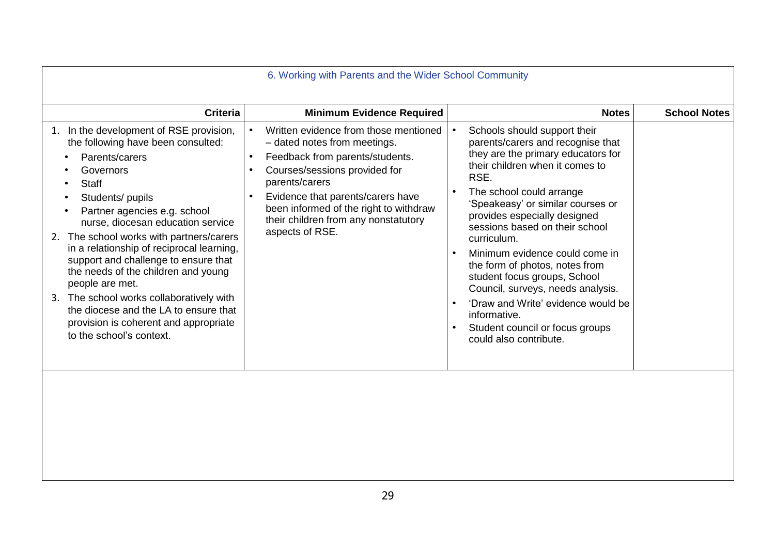| 6. Working with Parents and the Wider School Community                                                                                                                                                                                                                                                                                                                                                                                                                                                                                                                                  |                                                                                                                                                                                                                                                                                                                                                           |                                                                                                                                                                                                                                                                                                                                                                                                                                                                                                                                                                                                                      |                     |  |  |  |
|-----------------------------------------------------------------------------------------------------------------------------------------------------------------------------------------------------------------------------------------------------------------------------------------------------------------------------------------------------------------------------------------------------------------------------------------------------------------------------------------------------------------------------------------------------------------------------------------|-----------------------------------------------------------------------------------------------------------------------------------------------------------------------------------------------------------------------------------------------------------------------------------------------------------------------------------------------------------|----------------------------------------------------------------------------------------------------------------------------------------------------------------------------------------------------------------------------------------------------------------------------------------------------------------------------------------------------------------------------------------------------------------------------------------------------------------------------------------------------------------------------------------------------------------------------------------------------------------------|---------------------|--|--|--|
| <b>Criteria</b>                                                                                                                                                                                                                                                                                                                                                                                                                                                                                                                                                                         | <b>Minimum Evidence Required</b>                                                                                                                                                                                                                                                                                                                          | <b>Notes</b>                                                                                                                                                                                                                                                                                                                                                                                                                                                                                                                                                                                                         | <b>School Notes</b> |  |  |  |
| 1. In the development of RSE provision,<br>the following have been consulted:<br>Parents/carers<br>Governors<br><b>Staff</b><br>Students/ pupils<br>Partner agencies e.g. school<br>$\bullet$<br>nurse, diocesan education service<br>2. The school works with partners/carers<br>in a relationship of reciprocal learning,<br>support and challenge to ensure that<br>the needs of the children and young<br>people are met.<br>3. The school works collaboratively with<br>the diocese and the LA to ensure that<br>provision is coherent and appropriate<br>to the school's context. | Written evidence from those mentioned<br>$\bullet$<br>- dated notes from meetings.<br>Feedback from parents/students.<br>$\bullet$<br>Courses/sessions provided for<br>$\bullet$<br>parents/carers<br>Evidence that parents/carers have<br>$\bullet$<br>been informed of the right to withdraw<br>their children from any nonstatutory<br>aspects of RSE. | Schools should support their<br>$\bullet$<br>parents/carers and recognise that<br>they are the primary educators for<br>their children when it comes to<br>RSE.<br>The school could arrange<br>$\bullet$<br>'Speakeasy' or similar courses or<br>provides especially designed<br>sessions based on their school<br>curriculum.<br>Minimum evidence could come in<br>$\bullet$<br>the form of photos, notes from<br>student focus groups, School<br>Council, surveys, needs analysis.<br>'Draw and Write' evidence would be<br>$\bullet$<br>informative.<br>Student council or focus groups<br>could also contribute. |                     |  |  |  |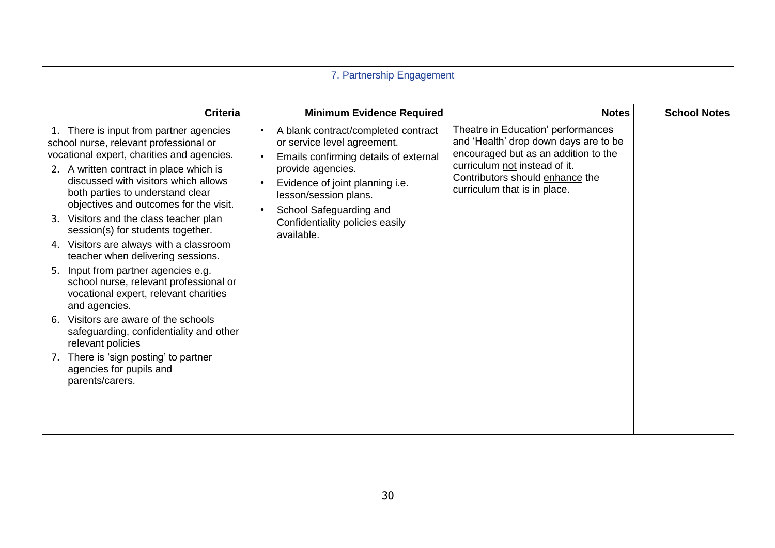| 7. Partnership Engagement                                                                                                                                                                                                                                                                                                                                                                                                                                                                                                                                                                                                                                                                                                                                                                                          |                                                                                                                                                                                                                                                                          |                                                                                                                                                                                                                         |                     |  |  |
|--------------------------------------------------------------------------------------------------------------------------------------------------------------------------------------------------------------------------------------------------------------------------------------------------------------------------------------------------------------------------------------------------------------------------------------------------------------------------------------------------------------------------------------------------------------------------------------------------------------------------------------------------------------------------------------------------------------------------------------------------------------------------------------------------------------------|--------------------------------------------------------------------------------------------------------------------------------------------------------------------------------------------------------------------------------------------------------------------------|-------------------------------------------------------------------------------------------------------------------------------------------------------------------------------------------------------------------------|---------------------|--|--|
| <b>Criteria</b>                                                                                                                                                                                                                                                                                                                                                                                                                                                                                                                                                                                                                                                                                                                                                                                                    | <b>Minimum Evidence Required</b>                                                                                                                                                                                                                                         | <b>Notes</b>                                                                                                                                                                                                            | <b>School Notes</b> |  |  |
| 1. There is input from partner agencies<br>school nurse, relevant professional or<br>vocational expert, charities and agencies.<br>2. A written contract in place which is<br>discussed with visitors which allows<br>both parties to understand clear<br>objectives and outcomes for the visit.<br>3. Visitors and the class teacher plan<br>session(s) for students together.<br>4. Visitors are always with a classroom<br>teacher when delivering sessions.<br>Input from partner agencies e.g.<br>5.<br>school nurse, relevant professional or<br>vocational expert, relevant charities<br>and agencies.<br>Visitors are aware of the schools<br>6.<br>safeguarding, confidentiality and other<br>relevant policies<br>There is 'sign posting' to partner<br>7.<br>agencies for pupils and<br>parents/carers. | A blank contract/completed contract<br>or service level agreement.<br>Emails confirming details of external<br>provide agencies.<br>Evidence of joint planning i.e.<br>lesson/session plans.<br>School Safeguarding and<br>Confidentiality policies easily<br>available. | Theatre in Education' performances<br>and 'Health' drop down days are to be<br>encouraged but as an addition to the<br>curriculum not instead of it.<br>Contributors should enhance the<br>curriculum that is in place. |                     |  |  |